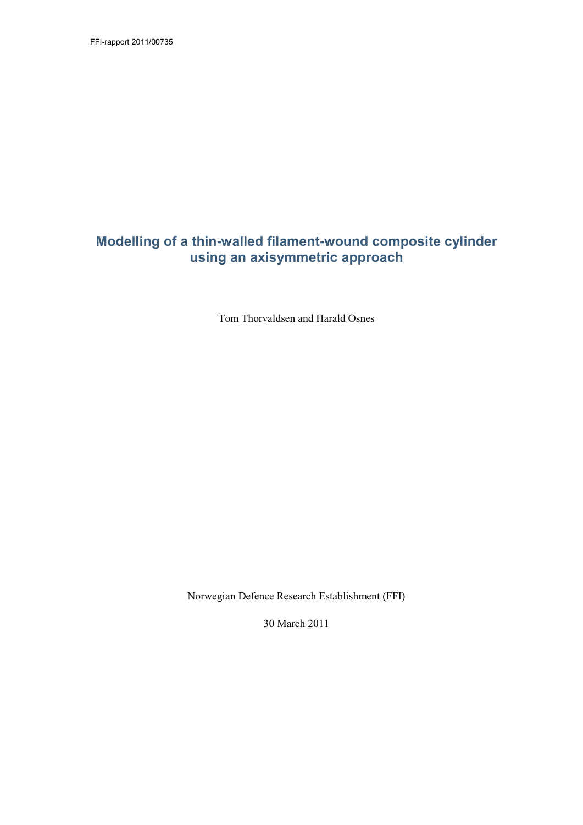FFI-rapport 2011/00735

## **Modelling of a thin-walled filament-wound composite cylinder using an axisymmetric approach**

Tom Thorvaldsen and Harald Osnes

Norwegian Defence Research Establishment (FFI)

30 March 2011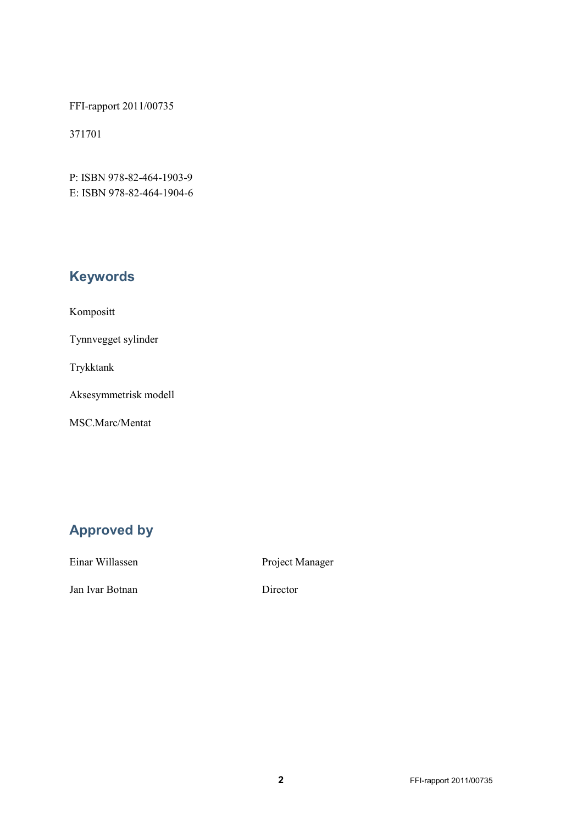FFI-rapport 2011/00735

371701

P: ISBN 978-82-464-1903-9 E: ISBN 978-82-464-1904-6

# **Keywords**

Kompositt

Tynnvegget sylinder

Trykktank

Aksesymmetrisk modell

MSC.Marc/Mentat

# **Approved by**

Einar Willassen Project Manager

Jan Ivar Botnan Director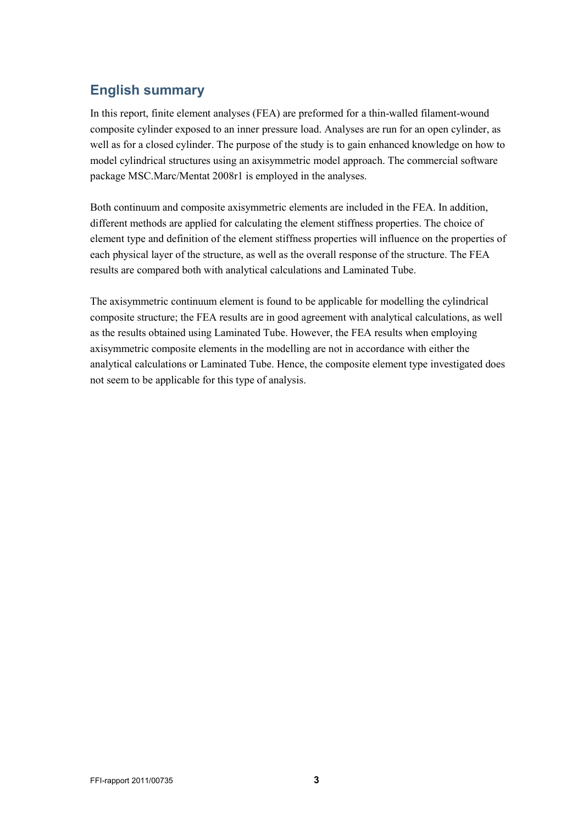# **English summary**

In this report, finite element analyses (FEA) are preformed for a thin-walled filament-wound composite cylinder exposed to an inner pressure load. Analyses are run for an open cylinder, as well as for a closed cylinder. The purpose of the study is to gain enhanced knowledge on how to model cylindrical structures using an axisymmetric model approach. The commercial software package MSC.Marc/Mentat 2008r1 is employed in the analyses.

Both continuum and composite axisymmetric elements are included in the FEA. In addition, different methods are applied for calculating the element stiffness properties. The choice of element type and definition of the element stiffness properties will influence on the properties of each physical layer of the structure, as well as the overall response of the structure. The FEA results are compared both with analytical calculations and Laminated Tube.

The axisymmetric continuum element is found to be applicable for modelling the cylindrical composite structure; the FEA results are in good agreement with analytical calculations, as well as the results obtained using Laminated Tube. However, the FEA results when employing axisymmetric composite elements in the modelling are not in accordance with either the analytical calculations or Laminated Tube. Hence, the composite element type investigated does not seem to be applicable for this type of analysis.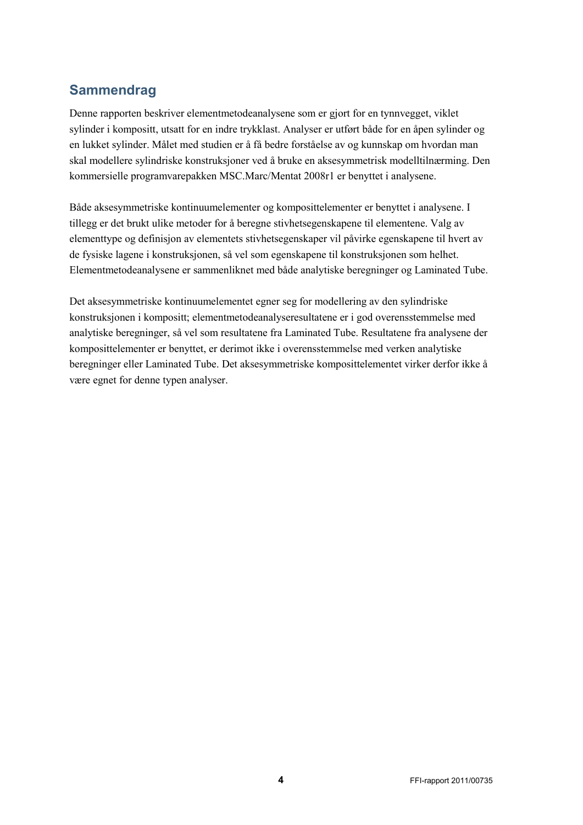# **Sammendrag**

Denne rapporten beskriver elementmetodeanalysene som er gjort for en tynnvegget, viklet sylinder i kompositt, utsatt for en indre trykklast. Analyser er utført både for en åpen sylinder og en lukket sylinder. Målet med studien er å få bedre forståelse av og kunnskap om hvordan man skal modellere sylindriske konstruksjoner ved å bruke en aksesymmetrisk modelltilnærming. Den kommersielle programvarepakken MSC.Marc/Mentat 2008r1 er benyttet i analysene.

Både aksesymmetriske kontinuumelementer og komposittelementer er benyttet i analysene. I tillegg er det brukt ulike metoder for å beregne stivhetsegenskapene til elementene. Valg av elementtype og definisjon av elementets stivhetsegenskaper vil påvirke egenskapene til hvert av de fysiske lagene i konstruksjonen, så vel som egenskapene til konstruksjonen som helhet. Elementmetodeanalysene er sammenliknet med både analytiske beregninger og Laminated Tube.

Det aksesymmetriske kontinuumelementet egner seg for modellering av den sylindriske konstruksjonen i kompositt; elementmetodeanalyseresultatene er i god overensstemmelse med analytiske beregninger, så vel som resultatene fra Laminated Tube. Resultatene fra analysene der komposittelementer er benyttet, er derimot ikke i overensstemmelse med verken analytiske beregninger eller Laminated Tube. Det aksesymmetriske komposittelementet virker derfor ikke å være egnet for denne typen analyser.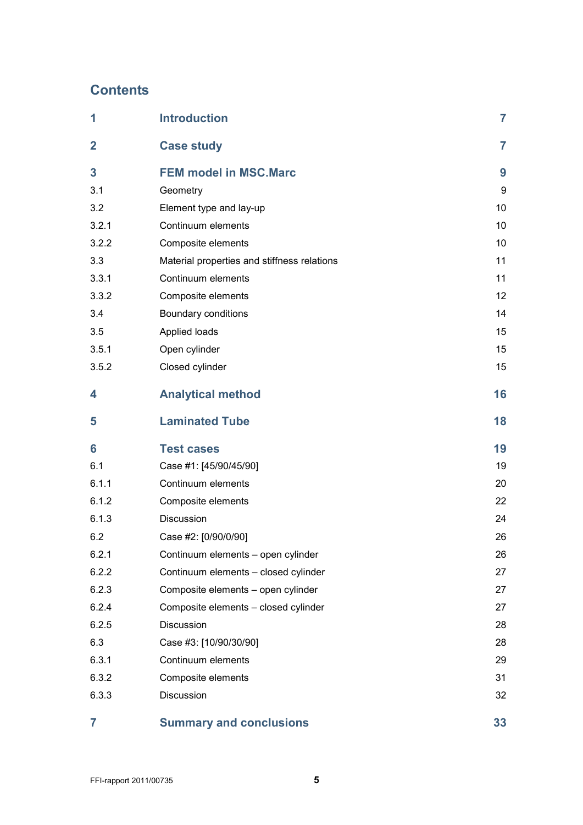# **Contents**

| 1              | <b>Introduction</b>                         | 7              |
|----------------|---------------------------------------------|----------------|
| $\overline{2}$ | <b>Case study</b>                           | $\overline{7}$ |
| 3              | <b>FEM model in MSC.Marc</b>                | 9              |
| 3.1            | Geometry                                    | 9              |
| 3.2            | Element type and lay-up                     | 10             |
| 3.2.1          | Continuum elements                          | 10             |
| 3.2.2          | Composite elements                          | 10             |
| 3.3            | Material properties and stiffness relations | 11             |
| 3.3.1          | Continuum elements                          | 11             |
| 3.3.2          | Composite elements                          | 12             |
| 3.4            | Boundary conditions                         | 14             |
| 3.5            | Applied loads                               | 15             |
| 3.5.1          | Open cylinder                               | 15             |
| 3.5.2          | Closed cylinder                             | 15             |
| 4              | <b>Analytical method</b>                    | 16             |
| 5              | <b>Laminated Tube</b>                       | 18             |
| 6              | <b>Test cases</b>                           | 19             |
| 6.1            | Case #1: [45/90/45/90]                      | 19             |
| 6.1.1          | Continuum elements                          | 20             |
| 6.1.2          | Composite elements                          | 22             |
| 6.1.3          | Discussion                                  | 24             |
| 6.2            | Case #2: [0/90/0/90]                        | 26             |
| 6.2.1          | Continuum elements - open cylinder          | 26             |
| 6.2.2          | Continuum elements - closed cylinder        | 27             |
| 6.2.3          | Composite elements - open cylinder          | 27             |
| 6.2.4          | Composite elements - closed cylinder        | 27             |
| 6.2.5          | Discussion                                  | 28             |
| 6.3            | Case #3: [10/90/30/90]                      | 28             |
| 6.3.1          | Continuum elements                          | 29             |
| 6.3.2          | Composite elements                          | 31             |
| 6.3.3          | Discussion                                  | 32             |
| 7              | <b>Summary and conclusions</b>              | 33             |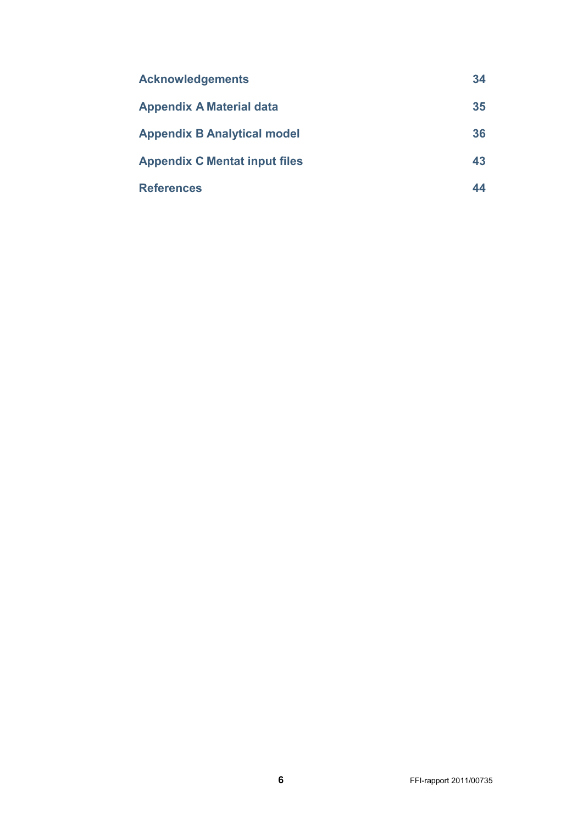| <b>Acknowledgements</b>              | 34 |
|--------------------------------------|----|
| <b>Appendix A Material data</b>      | 35 |
| <b>Appendix B Analytical model</b>   | 36 |
| <b>Appendix C Mentat input files</b> | 43 |
| <b>References</b>                    | 44 |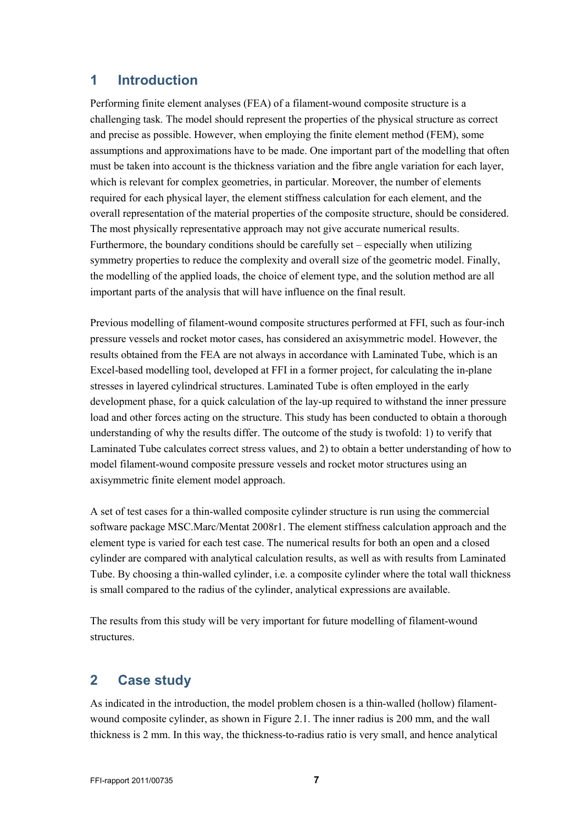## <span id="page-6-0"></span>**1 Introduction**

Performing finite element analyses (FEA) of a filament-wound composite structure is a challenging task. The model should represent the properties of the physical structure as correct and precise as possible. However, when employing the finite element method (FEM), some assumptions and approximations have to be made. One important part of the modelling that often must be taken into account is the thickness variation and the fibre angle variation for each layer, which is relevant for complex geometries, in particular. Moreover, the number of elements required for each physical layer, the element stiffness calculation for each element, and the overall representation of the material properties of the composite structure, should be considered. The most physically representative approach may not give accurate numerical results. Furthermore, the boundary conditions should be carefully set – especially when utilizing symmetry properties to reduce the complexity and overall size of the geometric model. Finally, the modelling of the applied loads, the choice of element type, and the solution method are all important parts of the analysis that will have influence on the final result.

Previous modelling of filament-wound composite structures performed at FFI, such as four-inch pressure vessels and rocket motor cases, has considered an axisymmetric model. However, the results obtained from the FEA are not always in accordance with Laminated Tube, which is an Excel-based modelling tool, developed at FFI in a former project, for calculating the in-plane stresses in layered cylindrical structures. Laminated Tube is often employed in the early development phase, for a quick calculation of the lay-up required to withstand the inner pressure load and other forces acting on the structure. This study has been conducted to obtain a thorough understanding of why the results differ. The outcome of the study is twofold: 1) to verify that Laminated Tube calculates correct stress values, and 2) to obtain a better understanding of how to model filament-wound composite pressure vessels and rocket motor structures using an axisymmetric finite element model approach.

A set of test cases for a thin-walled composite cylinder structure is run using the commercial software package MSC.Marc/Mentat 2008r1. The element stiffness calculation approach and the element type is varied for each test case. The numerical results for both an open and a closed cylinder are compared with analytical calculation results, as well as with results from Laminated Tube. By choosing a thin-walled cylinder, i.e. a composite cylinder where the total wall thickness is small compared to the radius of the cylinder, analytical expressions are available.

<span id="page-6-1"></span>The results from this study will be very important for future modelling of filament-wound structures.

## **2 Case study**

As indicated in the introduction, the model problem chosen is a thin-walled (hollow) filamentwound composite cylinder, as shown in [Figure 2.1.](#page-7-0) The inner radius is 200 mm, and the wall thickness is 2 mm. In this way, the thickness-to-radius ratio is very small, and hence analytical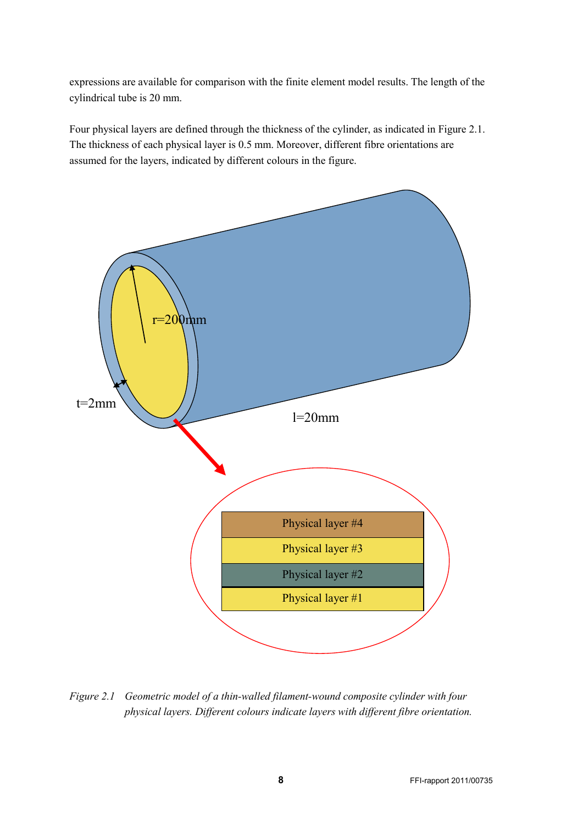expressions are available for comparison with the finite element model results. The length of the cylindrical tube is 20 mm.

Four physical layers are defined through the thickness of the cylinder, as indicated in [Figure 2.1.](#page-7-0) The thickness of each physical layer is 0.5 mm. Moreover, different fibre orientations are assumed for the layers, indicated by different colours in the figure.



<span id="page-7-0"></span>physical layers. Different colours indicate layers with different fibre orientation. *Figure 2.1 Geometric model of a thin-walled filament-wound composite cylinder with four*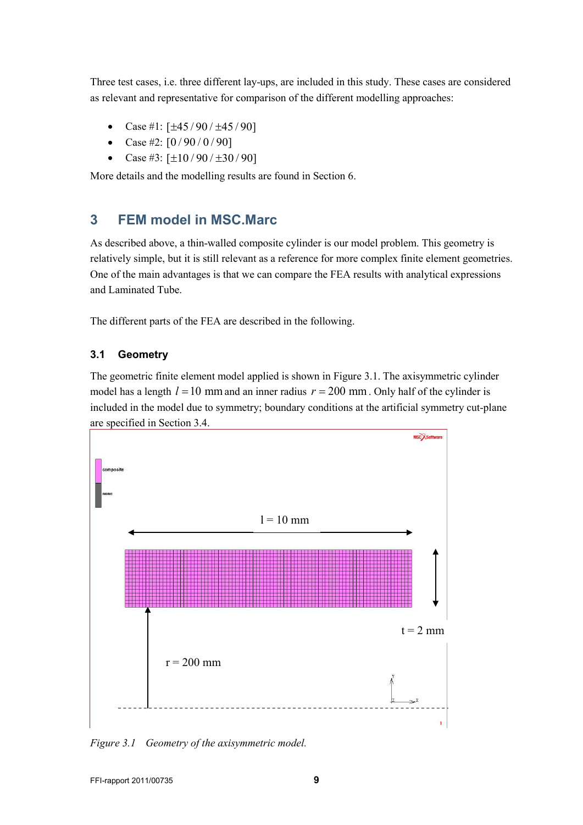Three test cases, i.e. three different lay-ups, are included in this study. These cases are considered as relevant and representative for comparison of the different modelling approaches:

- Case #1:  $[\pm 45/90/\pm 45/90]$
- Case #2:  $[0/90/0/90]$
- Case #3:  $[\pm 10/90/\pm 30/90]$

<span id="page-8-0"></span>More details and the modelling results are found in Section [6.](#page-18-0)

## **3 FEM model in MSC.Marc**

As described above, a thin-walled composite cylinder is our model problem. This geometry is relatively simple, but it is still relevant as a reference for more complex finite element geometries. One of the main advantages is that we can compare the FEA results with analytical expressions and Laminated Tube.

<span id="page-8-1"></span>The different parts of the FEA are described in the following.

## **3.1 Geometry**

The geometric finite element model applied is shown in [Figure 3.1.](#page-8-2) The axisymmetric cylinder model has a length  $l = 10$  mm and an inner radius  $r = 200$  mm. Only half of the cylinder is included in the model due to symmetry; boundary conditions at the artificial symmetry cut-plane are specified in Section [3.4.](#page-13-0)



<span id="page-8-2"></span>*Figure 3.1 Geometry of the axisymmetric model.*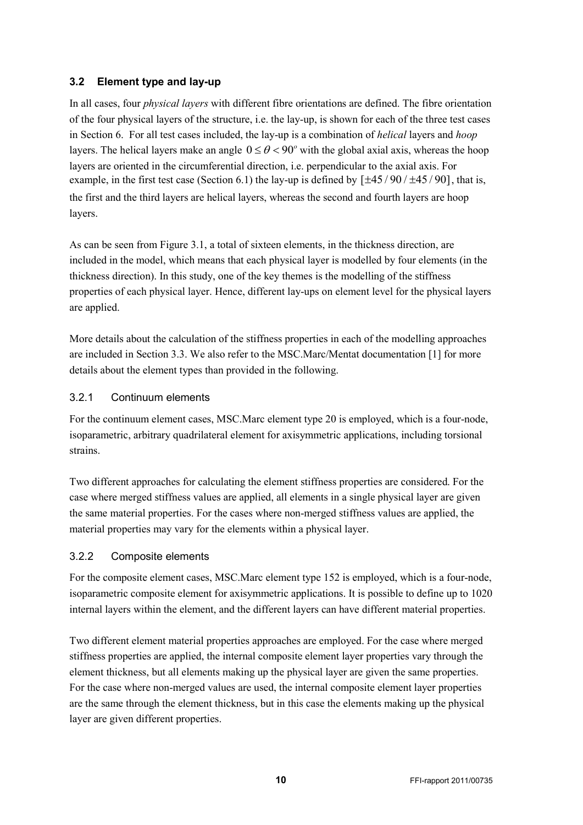## <span id="page-9-0"></span>**3.2 Element type and lay-up**

In all cases, four *physical layers* with different fibre orientations are defined. The fibre orientation of the four physical layers of the structure, i.e. the lay-up, is shown for each of the three test cases in Section [6.](#page-18-0) For all test cases included, the lay-up is a combination of *helical* layers and *hoop* layers. The helical layers make an angle  $0 \le \theta < 90^\circ$  with the global axial axis, whereas the hoop layers are oriented in the circumferential direction, i.e. perpendicular to the axial axis. For example, in the first test case (Sectio[n 6.1\)](#page-18-1) the lay-up is defined by  $[\pm 45/90/\pm 45/90]$ , that is, the first and the third layers are helical layers, whereas the second and fourth layers are hoop layers.

As can be seen from [Figure 3.1,](#page-8-2) a total of sixteen elements, in the thickness direction, are included in the model, which means that each physical layer is modelled by four elements (in the thickness direction). In this study, one of the key themes is the modelling of the stiffness properties of each physical layer. Hence, different lay-ups on element level for the physical layers are applied.

More details about the calculation of the stiffness properties in each of the modelling approaches are included in Section [3.3.](#page-10-0) We also refer to the MSC.Marc/Mentat documentation [1] for more details about the element types than provided in the following.

## <span id="page-9-1"></span>3.2.1 Continuum elements

For the continuum element cases, MSC.Marc element type 20 is employed, which is a four-node, isoparametric, arbitrary quadrilateral element for axisymmetric applications, including torsional strains.

Two different approaches for calculating the element stiffness properties are considered. For the case where merged stiffness values are applied, all elements in a single physical layer are given the same material properties. For the cases where non-merged stiffness values are applied, the material properties may vary for the elements within a physical layer.

## <span id="page-9-2"></span>3.2.2 Composite elements

For the composite element cases, MSC.Marc element type 152 is employed, which is a four-node, isoparametric composite element for axisymmetric applications. It is possible to define up to 1020 internal layers within the element, and the different layers can have different material properties.

Two different element material properties approaches are employed. For the case where merged stiffness properties are applied, the internal composite element layer properties vary through the element thickness, but all elements making up the physical layer are given the same properties. For the case where non-merged values are used, the internal composite element layer properties are the same through the element thickness, but in this case the elements making up the physical layer are given different properties.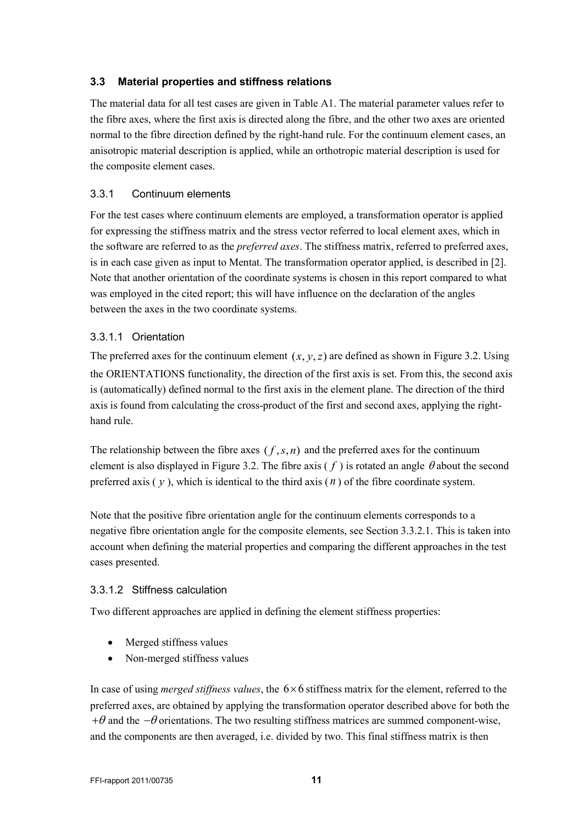## <span id="page-10-0"></span>**3.3 Material properties and stiffness relations**

The material data for all test cases are given in [Table A1](#page-34-1). The material parameter values refer to the fibre axes, where the first axis is directed along the fibre, and the other two axes are oriented normal to the fibre direction defined by the right-hand rule. For the continuum element cases, an anisotropic material description is applied, while an orthotropic material description is used for the composite element cases.

## <span id="page-10-1"></span>3.3.1 Continuum elements

For the test cases where continuum elements are employed, a transformation operator is applied for expressing the stiffness matrix and the stress vector referred to local element axes, which in the software are referred to as the *preferred axes*. The stiffness matrix, referred to preferred axes, is in each case given as input to Mentat. The transformation operator applied, is described in [2]. Note that another orientation of the coordinate systems is chosen in this report compared to what was employed in the cited report; this will have influence on the declaration of the angles between the axes in the two coordinate systems.

## <span id="page-10-2"></span>3.3.1.1 Orientation

The preferred axes for the continuum element  $(x, y, z)$  are defined as shown in [Figure 3.2.](#page-12-0) Using the ORIENTATIONS functionality, the direction of the first axis is set. From this, the second axis is (automatically) defined normal to the first axis in the element plane. The direction of the third axis is found from calculating the cross-product of the first and second axes, applying the righthand rule.

The relationship between the fibre axes  $(f, s, n)$  and the preferred axes for the continuum element is also displayed in [Figure 3.2.](#page-12-0) The fibre axis  $(f)$  is rotated an angle  $\theta$  about the second preferred axis  $(y)$ , which is identical to the third axis  $(n)$  of the fibre coordinate system.

Note that the positive fibre orientation angle for the continuum elements corresponds to a negative fibre orientation angle for the composite elements, see Section [3.3.2.1.](#page-11-1) This is taken into account when defining the material properties and comparing the different approaches in the test cases presented.

## <span id="page-10-3"></span>3.3.1.2 Stiffness calculation

Two different approaches are applied in defining the element stiffness properties:

- Merged stiffness values
- Non-merged stiffness values

In case of using *merged stiffness values*, the  $6 \times 6$  stiffness matrix for the element, referred to the preferred axes, are obtained by applying the transformation operator described above for both the  $+\theta$  and the  $-\theta$  orientations. The two resulting stiffness matrices are summed component-wise, and the components are then averaged, i.e. divided by two. This final stiffness matrix is then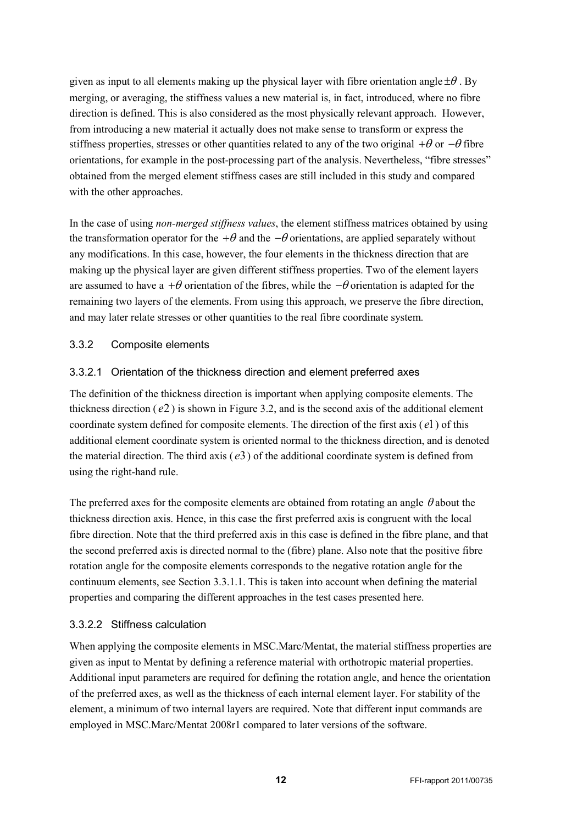given as input to all elements making up the physical layer with fibre orientation angle  $\pm \theta$ . By merging, or averaging, the stiffness values a new material is, in fact, introduced, where no fibre direction is defined. This is also considered as the most physically relevant approach. However, from introducing a new material it actually does not make sense to transform or express the stiffness properties, stresses or other quantities related to any of the two original  $+\theta$  or  $-\theta$  fibre orientations, for example in the post-processing part of the analysis. Nevertheless, "fibre stresses" obtained from the merged element stiffness cases are still included in this study and compared with the other approaches.

In the case of using *non-merged stiffness values*, the element stiffness matrices obtained by using the transformation operator for the  $+\theta$  and the  $-\theta$  orientations, are applied separately without any modifications. In this case, however, the four elements in the thickness direction that are making up the physical layer are given different stiffness properties. Two of the element layers are assumed to have a + $\theta$  orientation of the fibres, while the  $-\theta$  orientation is adapted for the remaining two layers of the elements. From using this approach, we preserve the fibre direction, and may later relate stresses or other quantities to the real fibre coordinate system.

## <span id="page-11-0"></span>3.3.2 Composite elements

## <span id="page-11-1"></span>3.3.2.1 Orientation of the thickness direction and element preferred axes

The definition of the thickness direction is important when applying composite elements. The thickness direction  $(e2)$  is shown in [Figure 3.2,](#page-12-0) and is the second axis of the additional element coordinate system defined for composite elements. The direction of the first axis ( *e*1) of this additional element coordinate system is oriented normal to the thickness direction, and is denoted the material direction. The third axis ( *e*3) of the additional coordinate system is defined from using the right-hand rule.

The preferred axes for the composite elements are obtained from rotating an angle  $\theta$  about the thickness direction axis. Hence, in this case the first preferred axis is congruent with the local fibre direction. Note that the third preferred axis in this case is defined in the fibre plane, and that the second preferred axis is directed normal to the (fibre) plane. Also note that the positive fibre rotation angle for the composite elements corresponds to the negative rotation angle for the continuum elements, see Section [3.3.1.1.](#page-10-2) This is taken into account when defining the material properties and comparing the different approaches in the test cases presented here.

### 3.3.2.2 Stiffness calculation

When applying the composite elements in MSC.Marc/Mentat, the material stiffness properties are given as input to Mentat by defining a reference material with orthotropic material properties. Additional input parameters are required for defining the rotation angle, and hence the orientation of the preferred axes, as well as the thickness of each internal element layer. For stability of the element, a minimum of two internal layers are required. Note that different input commands are employed in MSC.Marc/Mentat 2008r1 compared to later versions of the software.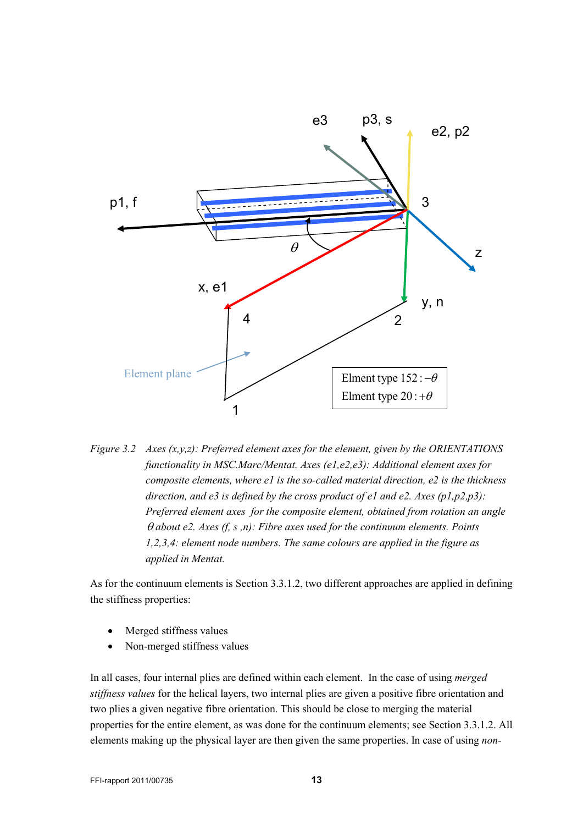

<span id="page-12-0"></span>*Figure 3.2 Axes (x,y,z): Preferred element axes for the element, given by the ORIENTATIONS functionality in MSC.Marc/Mentat. Axes (e1,e2,e3): Additional element axes for composite elements, where e1 is the so-called material direction, e2 is the thickness direction, and e3 is defined by the cross product of e1 and e2. Axes (p1,p2,p3): Preferred element axes for the composite element, obtained from rotation an angle*  θ *about e2. Axes (f, s ,n): Fibre axes used for the continuum elements. Points 1,2,3,4: element node numbers. The same colours are applied in the figure as applied in Mentat.* 

As for the continuum elements is Section [3.3.1.2,](#page-10-3) two different approaches are applied in defining the stiffness properties:

- Merged stiffness values
- Non-merged stiffness values

In all cases, four internal plies are defined within each element. In the case of using *merged stiffness values* for the helical layers, two internal plies are given a positive fibre orientation and two plies a given negative fibre orientation. This should be close to merging the material properties for the entire element, as was done for the continuum elements; see Sectio[n 3.3.1.2.](#page-10-3) All elements making up the physical layer are then given the same properties. In case of using *non-*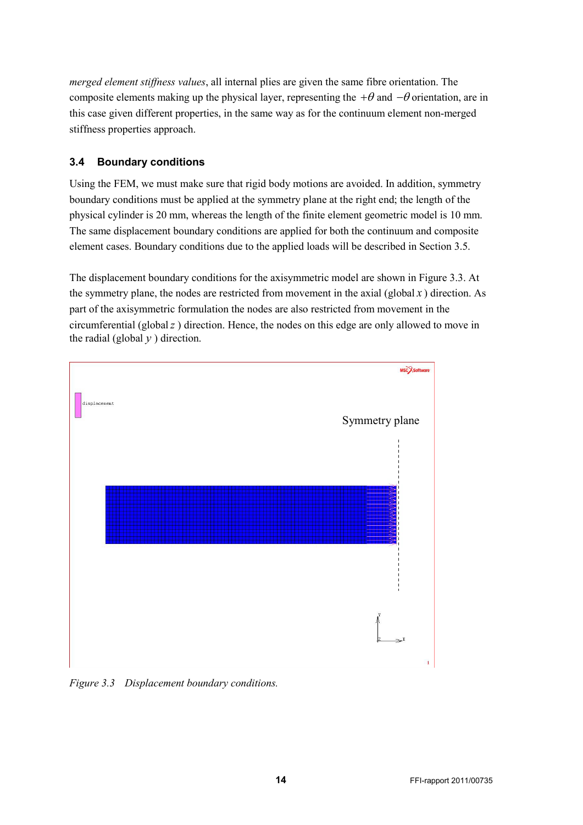*merged element stiffness values*, all internal plies are given the same fibre orientation. The composite elements making up the physical layer, representing the  $+\theta$  and  $-\theta$  orientation, are in this case given different properties, in the same way as for the continuum element non-merged stiffness properties approach.

## <span id="page-13-0"></span>**3.4 Boundary conditions**

Using the FEM, we must make sure that rigid body motions are avoided. In addition, symmetry boundary conditions must be applied at the symmetry plane at the right end; the length of the physical cylinder is 20 mm, whereas the length of the finite element geometric model is 10 mm. The same displacement boundary conditions are applied for both the continuum and composite element cases. Boundary conditions due to the applied loads will be described in Section [3.5.](#page-14-0)

The displacement boundary conditions for the axisymmetric model are shown in [Figure 3.3.](#page-13-1) At the symmetry plane, the nodes are restricted from movement in the axial (global  $x$ ) direction. As part of the axisymmetric formulation the nodes are also restricted from movement in the circumferential (global*z* ) direction. Hence, the nodes on this edge are only allowed to move in the radial (global  $y$ ) direction.



<span id="page-13-1"></span>*Figure 3.3 Displacement boundary conditions.*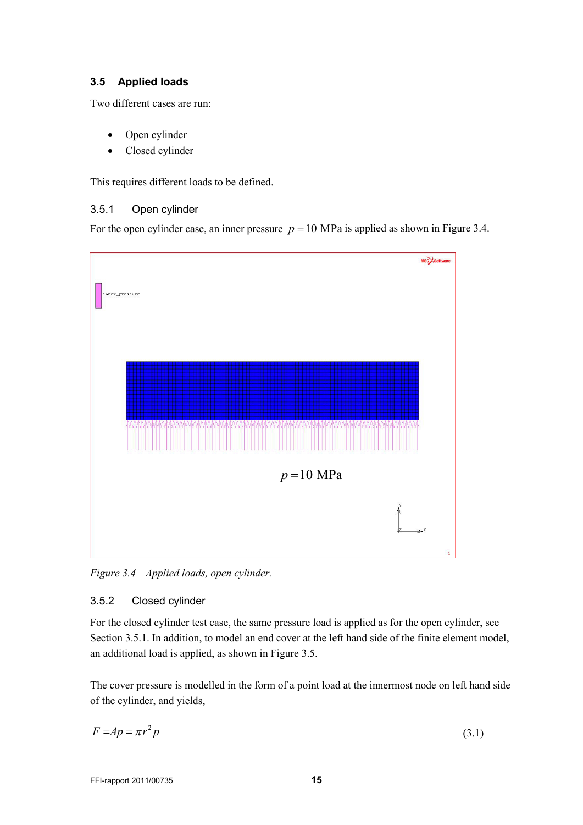## <span id="page-14-0"></span>**3.5 Applied loads**

Two different cases are run:

- Open cylinder
- Closed cylinder

<span id="page-14-1"></span>This requires different loads to be defined.

### 3.5.1 Open cylinder

For the open cylinder case, an inner pressure  $p = 10$  MPa is applied as shown in [Figure 3.4.](#page-14-3)



<span id="page-14-3"></span>*Figure 3.4 Applied loads, open cylinder.*

### <span id="page-14-2"></span>3.5.2 Closed cylinder

For the closed cylinder test case, the same pressure load is applied as for the open cylinder, see Section [3.5.1.](#page-14-1) In addition, to model an end cover at the left hand side of the finite element model, an additional load is applied, as shown in [Figure 3.5.](#page-15-1)

The cover pressure is modelled in the form of a point load at the innermost node on left hand side of the cylinder, and yields,

$$
F = Ap = \pi r^2 p \tag{3.1}
$$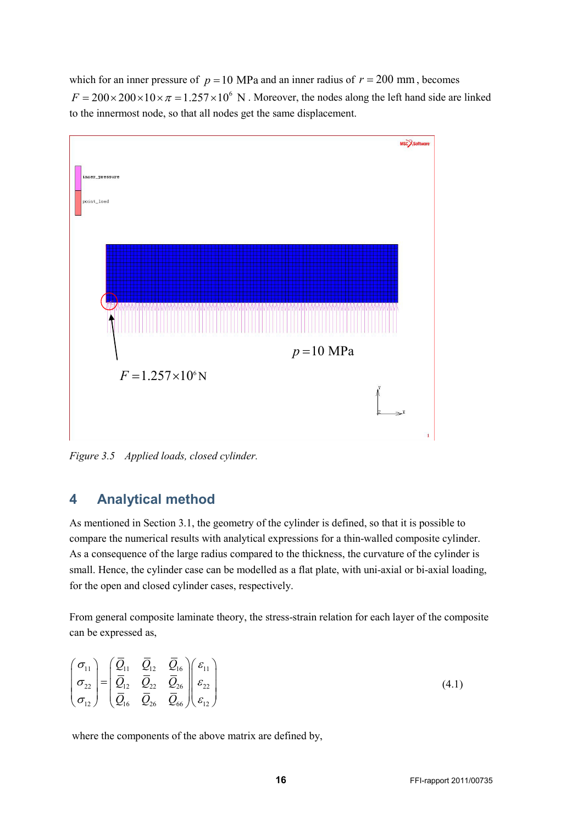which for an inner pressure of  $p = 10$  MPa and an inner radius of  $r = 200$  mm, becomes  $F = 200 \times 200 \times 10 \times \pi = 1.257 \times 10^6$  N. Moreover, the nodes along the left hand side are linked to the innermost node, so that all nodes get the same displacement.



<span id="page-15-1"></span><span id="page-15-0"></span>*Figure 3.5 Applied loads, closed cylinder.*

## **4 Analytical method**

As mentioned in Section [3.1,](#page-8-1) the geometry of the cylinder is defined, so that it is possible to compare the numerical results with analytical expressions for a thin-walled composite cylinder. As a consequence of the large radius compared to the thickness, the curvature of the cylinder is small. Hence, the cylinder case can be modelled as a flat plate, with uni-axial or bi-axial loading, for the open and closed cylinder cases, respectively.

From general composite laminate theory, the stress-strain relation for each layer of the composite can be expressed as,

$$
\begin{pmatrix}\n\sigma_{11} \\
\sigma_{22} \\
\sigma_{12}\n\end{pmatrix} = \begin{pmatrix}\n\overline{Q}_{11} & \overline{Q}_{12} & \overline{Q}_{16} \\
\overline{Q}_{12} & \overline{Q}_{22} & \overline{Q}_{26} \\
\overline{Q}_{16} & \overline{Q}_{26} & \overline{Q}_{66}\n\end{pmatrix} \begin{pmatrix}\n\varepsilon_{11} \\
\varepsilon_{22} \\
\varepsilon_{12}\n\end{pmatrix}
$$
\n(4.1)

where the components of the above matrix are defined by,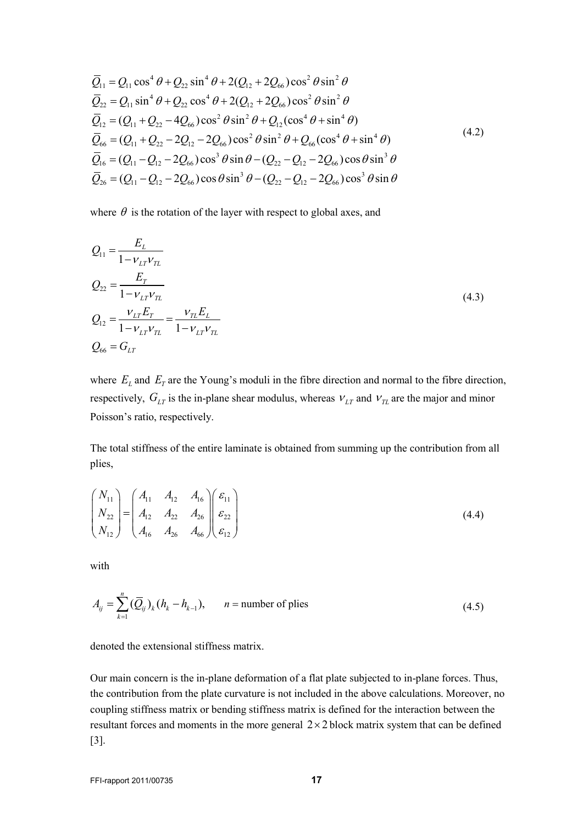$$
\overline{Q}_{11} = Q_{11} \cos^4 \theta + Q_{22} \sin^4 \theta + 2(Q_{12} + 2Q_{66}) \cos^2 \theta \sin^2 \theta
$$
\n
$$
\overline{Q}_{22} = Q_{11} \sin^4 \theta + Q_{22} \cos^4 \theta + 2(Q_{12} + 2Q_{66}) \cos^2 \theta \sin^2 \theta
$$
\n
$$
\overline{Q}_{12} = (Q_{11} + Q_{22} - 4Q_{66}) \cos^2 \theta \sin^2 \theta + Q_{12} (\cos^4 \theta + \sin^4 \theta)
$$
\n
$$
\overline{Q}_{66} = (Q_{11} + Q_{22} - 2Q_{12} - 2Q_{66}) \cos^2 \theta \sin^2 \theta + Q_{66} (\cos^4 \theta + \sin^4 \theta)
$$
\n
$$
\overline{Q}_{16} = (Q_{11} - Q_{12} - 2Q_{66}) \cos^3 \theta \sin \theta - (Q_{22} - Q_{12} - 2Q_{66}) \cos \theta \sin^3 \theta
$$
\n
$$
\overline{Q}_{26} = (Q_{11} - Q_{12} - 2Q_{66}) \cos \theta \sin^3 \theta - (Q_{22} - Q_{12} - 2Q_{66}) \cos^3 \theta \sin \theta
$$
\n(4.2)

where  $\theta$  is the rotation of the layer with respect to global axes, and

$$
Q_{11} = \frac{E_L}{1 - v_{LT}v_{TL}}
$$
  
\n
$$
Q_{22} = \frac{E_T}{1 - v_{LT}v_{TL}}
$$
  
\n
$$
Q_{12} = \frac{v_{LT}E_T}{1 - v_{LT}v_{TL}} = \frac{v_{TL}E_L}{1 - v_{LT}v_{TL}}
$$
  
\n
$$
Q_{66} = G_{LT}
$$
\n(4.3)

where  $E_L$  and  $E_T$  are the Young's moduli in the fibre direction and normal to the fibre direction, respectively,  $G_{LT}$  is the in-plane shear modulus, whereas  $V_{LT}$  and  $V_{TL}$  are the major and minor Poisson's ratio, respectively.

The total stiffness of the entire laminate is obtained from summing up the contribution from all plies,

$$
\begin{pmatrix}\nN_{11} \\
N_{22} \\
N_{12}\n\end{pmatrix} =\n\begin{pmatrix}\nA_{11} & A_{12} & A_{16} \\
A_{12} & A_{22} & A_{26} \\
A_{16} & A_{26} & A_{66}\n\end{pmatrix}\n\begin{pmatrix}\n\varepsilon_{11} \\
\varepsilon_{22} \\
\varepsilon_{12}\n\end{pmatrix}
$$
\n(4.4)

with

$$
A_{ij} = \sum_{k=1}^{n} (\overline{Q}_{ij})_k (h_k - h_{k-1}), \qquad n = \text{number of plies}
$$
 (4.5)

denoted the extensional stiffness matrix.

Our main concern is the in-plane deformation of a flat plate subjected to in-plane forces. Thus, the contribution from the plate curvature is not included in the above calculations. Moreover, no coupling stiffness matrix or bending stiffness matrix is defined for the interaction between the resultant forces and moments in the more general  $2 \times 2$  block matrix system that can be defined [3].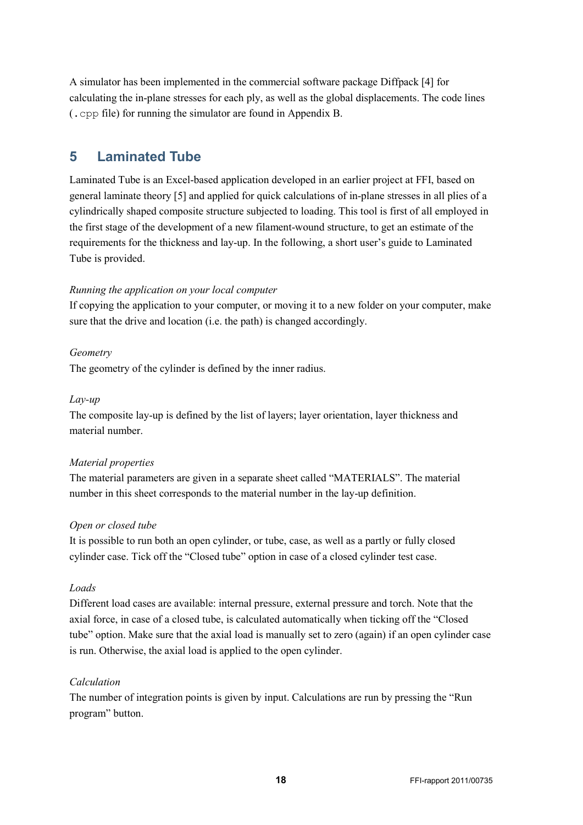A simulator has been implemented in the commercial software package Diffpack [4] for calculating the in-plane stresses for each ply, as well as the global displacements. The code lines (.cpp file) for running the simulator are found in [Appendix B.](#page-35-0)

## <span id="page-17-0"></span>**5 Laminated Tube**

Laminated Tube is an Excel-based application developed in an earlier project at FFI, based on general laminate theory [5] and applied for quick calculations of in-plane stresses in all plies of a cylindrically shaped composite structure subjected to loading. This tool is first of all employed in the first stage of the development of a new filament-wound structure, to get an estimate of the requirements for the thickness and lay-up. In the following, a short user's guide to Laminated Tube is provided.

## *Running the application on your local computer*

If copying the application to your computer, or moving it to a new folder on your computer, make sure that the drive and location (i.e. the path) is changed accordingly.

## *Geometry*

The geometry of the cylinder is defined by the inner radius.

## *Lay-up*

The composite lay-up is defined by the list of layers; layer orientation, layer thickness and material number.

### *Material properties*

The material parameters are given in a separate sheet called "MATERIALS". The material number in this sheet corresponds to the material number in the lay-up definition.

### *Open or closed tube*

It is possible to run both an open cylinder, or tube, case, as well as a partly or fully closed cylinder case. Tick off the "Closed tube" option in case of a closed cylinder test case.

### *Loads*

Different load cases are available: internal pressure, external pressure and torch. Note that the axial force, in case of a closed tube, is calculated automatically when ticking off the "Closed tube" option. Make sure that the axial load is manually set to zero (again) if an open cylinder case is run. Otherwise, the axial load is applied to the open cylinder.

### *Calculation*

The number of integration points is given by input. Calculations are run by pressing the "Run program" button.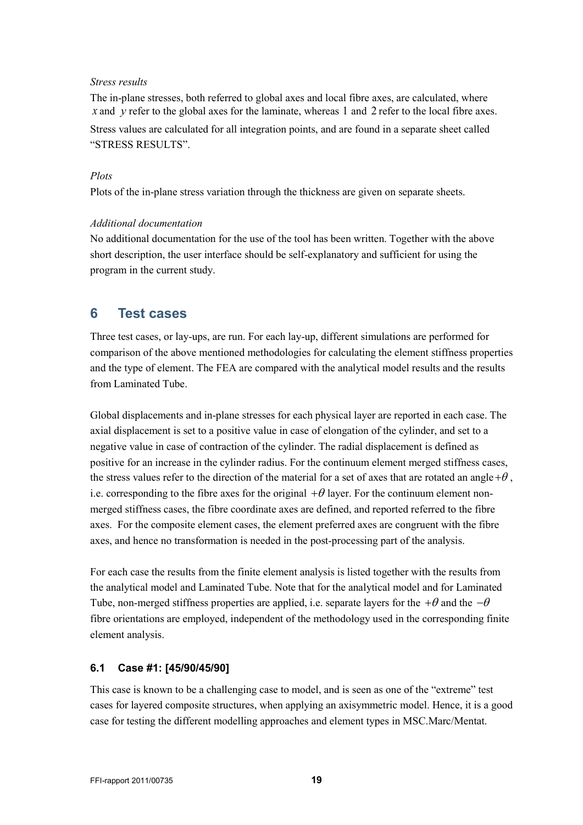#### *Stress results*

The in-plane stresses, both referred to global axes and local fibre axes, are calculated, where *x* and *y* refer to the global axes for the laminate, whereas 1 and 2 refer to the local fibre axes.

Stress values are calculated for all integration points, and are found in a separate sheet called "STRESS RESULTS".

#### *Plots*

Plots of the in-plane stress variation through the thickness are given on separate sheets.

#### *Additional documentation*

No additional documentation for the use of the tool has been written. Together with the above short description, the user interface should be self-explanatory and sufficient for using the program in the current study.

## <span id="page-18-0"></span>**6 Test cases**

Three test cases, or lay-ups, are run. For each lay-up, different simulations are performed for comparison of the above mentioned methodologies for calculating the element stiffness properties and the type of element. The FEA are compared with the analytical model results and the results from Laminated Tube.

Global displacements and in-plane stresses for each physical layer are reported in each case. The axial displacement is set to a positive value in case of elongation of the cylinder, and set to a negative value in case of contraction of the cylinder. The radial displacement is defined as positive for an increase in the cylinder radius. For the continuum element merged stiffness cases, the stress values refer to the direction of the material for a set of axes that are rotated an angle  $+\theta$ , i.e. corresponding to the fibre axes for the original  $+\theta$  layer. For the continuum element nonmerged stiffness cases, the fibre coordinate axes are defined, and reported referred to the fibre axes. For the composite element cases, the element preferred axes are congruent with the fibre axes, and hence no transformation is needed in the post-processing part of the analysis.

For each case the results from the finite element analysis is listed together with the results from the analytical model and Laminated Tube. Note that for the analytical model and for Laminated Tube, non-merged stiffness properties are applied, i.e. separate layers for the  $+\theta$  and the  $-\theta$ fibre orientations are employed, independent of the methodology used in the corresponding finite element analysis.

## <span id="page-18-1"></span>**6.1 Case #1: [45/90/45/90]**

This case is known to be a challenging case to model, and is seen as one of the "extreme" test cases for layered composite structures, when applying an axisymmetric model. Hence, it is a good case for testing the different modelling approaches and element types in MSC.Marc/Mentat.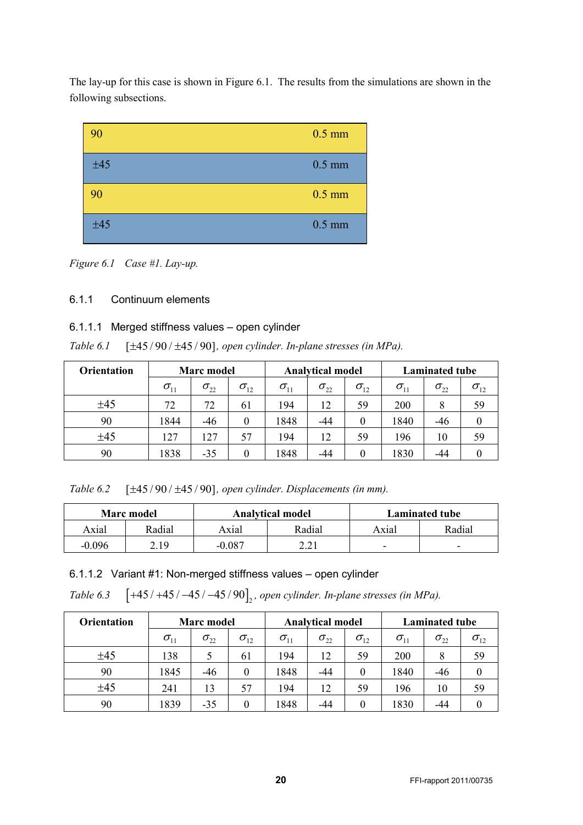The lay-up for this case is shown in [Figure 6.1.](#page-19-1) The results from the simulations are shown in the following subsections.



<span id="page-19-1"></span>*Figure 6.1 Case #1. Lay-up.*

## <span id="page-19-0"></span>6.1.1 Continuum elements

### 6.1.1.1 Merged stiffness values – open cylinder

*Table 6.1* [ $\pm$ 45 / 90 /  $\pm$ 45 / 90], open cylinder. In-plane stresses (in MPa).

| <b>Orientation</b> | <b>Marc</b> model |               |               | <b>Analytical model</b> |               |               | <b>Laminated tube</b> |               |               |
|--------------------|-------------------|---------------|---------------|-------------------------|---------------|---------------|-----------------------|---------------|---------------|
|                    | $\sigma_{11}$     | $\sigma_{22}$ | $\sigma_{12}$ | $\sigma_{11}$           | $\sigma_{22}$ | $\sigma_{12}$ | $\sigma_{11}$         | $\sigma_{22}$ | $\sigma_{12}$ |
| ±45                | 72                | 72            | 61            | 194                     | 12            | 59            | 200                   |               | 59            |
| 90                 | 1844              | $-46$         | 0             | 1848                    | $-44$         | $\theta$      | 1840                  | -46           |               |
| ±45                | 127               | 127           | 57            | 194                     | 12            | 59            | 196                   | 10            | 59            |
| 90                 | 1838              | $-35$         | $\theta$      | 1848                    | -44           | 0             | 1830                  | -44           |               |

*Table 6.2* [ $\pm$ 45 / 90 /  $\pm$ 45 / 90], open cylinder. Displacements (in mm).

|        | Marc model |        | <b>Analytical model</b> | <b>Laminated tube</b>    |                          |  |
|--------|------------|--------|-------------------------|--------------------------|--------------------------|--|
| Axial  | Radial     | Axial  | Radial                  | Axial                    | Radial                   |  |
| -0.096 | 2.19       | -0.087 | າ າ 1                   | $\overline{\phantom{0}}$ | $\overline{\phantom{0}}$ |  |

6.1.1.2 Variant #1: Non-merged stiffness values – open cylinder

*Table 6.3* [+45 / +45 / −45 / −45 / 90], open *cylinder. In-plane stresses (in MPa).* 

| <b>Orientation</b> | <b>Marc</b> model |               |               | <b>Analytical model</b> |               |               | <b>Laminated tube</b> |               |               |
|--------------------|-------------------|---------------|---------------|-------------------------|---------------|---------------|-----------------------|---------------|---------------|
|                    | $\sigma_{11}$     | $\sigma_{22}$ | $\sigma_{12}$ | $\sigma_{11}$           | $\sigma_{22}$ | $\sigma_{12}$ | $\sigma_{11}$         | $\sigma_{22}$ | $\sigma_{12}$ |
| ±45                | 138               |               | 61            | 194                     | 12            | 59            | <b>200</b>            | 8             | 59            |
| 90                 | 1845              | -46           | $\theta$      | 1848                    | -44           | $\theta$      | 1840                  | -46           | $\theta$      |
| ±45                | 241               | 13            | 57            | 194                     | 12            | 59            | 196                   | 10            | 59            |
| 90                 | 1839              | -35           | 0             | 1848                    | -44           | $\Omega$      | 1830                  | -44           |               |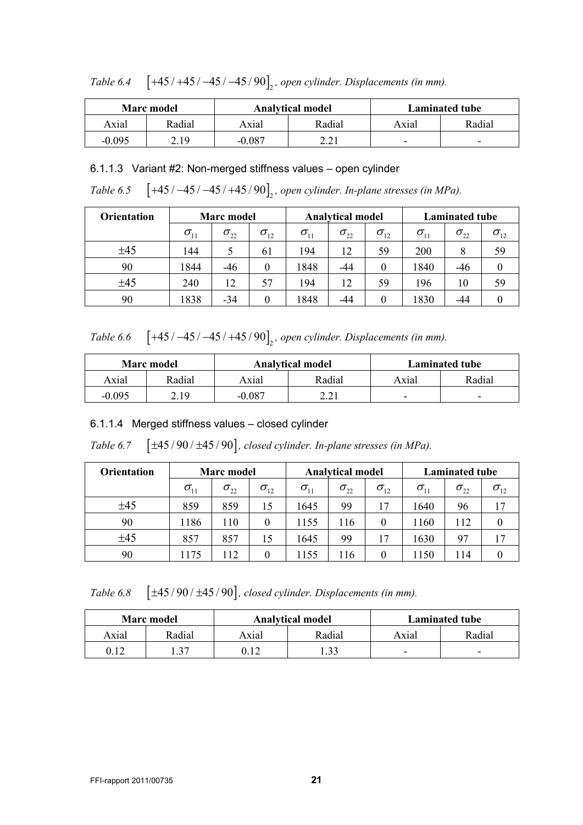|        | <b>Marc</b> model |       | <b>Analytical model</b> | <b>Laminated tube</b> |                          |  |
|--------|-------------------|-------|-------------------------|-----------------------|--------------------------|--|
| Axial  | Radial            | Axial | Radial                  | Axial                 | Radial                   |  |
| -0 095 | 2.19              | , 087 | າ າ 1                   | -                     | $\overline{\phantom{0}}$ |  |

*Table 6.4* [+45 / +45 / −45 / −45 / 90]<sub>2</sub>, open cylinder. Displacements (in mm).

### 6.1.1.3 Variant #2: Non-merged stiffness values – open cylinder

*Table* 6.5 [+45 / -45 / -45 / +45 / 90]<sub>2</sub>, open *cylinder. In-plane stresses (in MPa).* 

| <b>Orientation</b> | <b>Marc</b> model                   |               | <b>Analytical model</b> |                                     |               | <b>Laminated tube</b> |                                     |               |               |
|--------------------|-------------------------------------|---------------|-------------------------|-------------------------------------|---------------|-----------------------|-------------------------------------|---------------|---------------|
|                    | $\sigma_{\scriptscriptstyle 11}^{}$ | $\sigma_{22}$ | $\sigma_{12}$           | $\sigma_{\scriptscriptstyle 11}^{}$ | $\sigma_{22}$ | $\sigma_{12}$         | $\sigma_{\scriptscriptstyle 11}^{}$ | $\sigma_{22}$ | $\sigma_{12}$ |
| ±45                | 144                                 |               | 61                      | 194                                 | 12            | 59                    | 200                                 |               | 59            |
| 90                 | 1844                                | -46           |                         | 1848                                | -44           |                       | 1840                                | -46           |               |
| ±45                | 240                                 | 12            | 57                      | 194                                 | 12            | 59                    | 196                                 | 10            | 59            |
| 90                 | 1838                                | -34           |                         | 1848                                | -44           |                       | 1830                                | -44           |               |

*Table 6.6* [+45 / −45 / −45 / +45 / 90]<sub>2</sub>, open cylinder. Displacements (in mm).

|          | <b>Marc</b> model |          | <b>Analytical model</b> | <b>Laminated tube</b> |                          |  |
|----------|-------------------|----------|-------------------------|-----------------------|--------------------------|--|
| Axial    | Radial            | Axial    | Radial                  | Axial                 | Radial                   |  |
| $-0.095$ | 2.19              | $-0.087$ | 221<br>4.4I             | -                     | $\overline{\phantom{0}}$ |  |

## 6.1.1.4 Merged stiffness values – closed cylinder

*Table 6.7*  $[\pm 45/90/\pm 45/90]$ , closed *cylinder. In-plane stresses (in MPa).* 

| <b>Orientation</b> | <b>Marc</b> model |               |               |                                  | <b>Analytical model</b> |               |               | <b>Laminated tube</b> |               |  |
|--------------------|-------------------|---------------|---------------|----------------------------------|-------------------------|---------------|---------------|-----------------------|---------------|--|
|                    | $\sigma_{11}$     | $\sigma_{22}$ | $\sigma_{12}$ | $\sigma_{\scriptscriptstyle 11}$ | $\sigma_{22}$           | $\sigma_{12}$ | $\sigma_{11}$ | $\sigma_{22}$         | $\sigma_{12}$ |  |
| ±45                | 859               | 859           | 15            | 1645                             | 99                      | 17            | 1640          | 96                    | 17            |  |
| 90                 | 1186              | 110           | 0             | 1155                             | 116                     | $\Omega$      | 1160          | 112                   |               |  |
| ±45                | 857               | 857           | 15            | 1645                             | 99                      | 17            | 1630          | 97                    | 17            |  |
| 90                 | 1175              | 112           | 0             | 1155                             | 116                     | $\Omega$      | 1150          | 114                   |               |  |

*Table 6.8*  $[\pm 45/90/\pm 45/90]$ , closed cylinder. Displacements (in mm).

|       | <b>Marc</b> model |       | <b>Analytical model</b> | <b>Laminated tube</b> |        |  |
|-------|-------------------|-------|-------------------------|-----------------------|--------|--|
| Axial | Radial            | Axial | Radial                  | Axial                 | Radial |  |
| 0.12  | 27                | ገ 1 ገ | $\mathbf{c}$            | -                     | -      |  |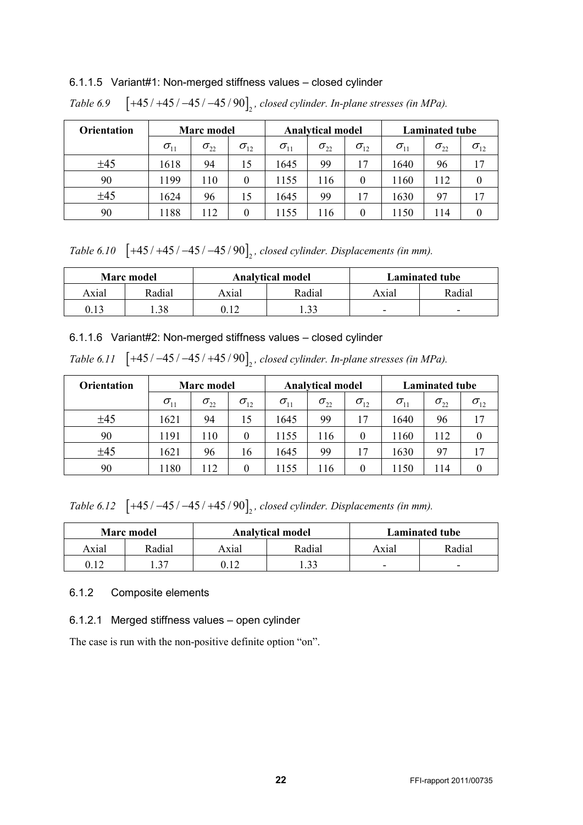## 6.1.1.5 Variant#1: Non-merged stiffness values – closed cylinder

| <b>Orientation</b> | <b>Marc</b> model |               |               | <b>Analytical model</b>          |               |               | <b>Laminated tube</b>            |               |               |
|--------------------|-------------------|---------------|---------------|----------------------------------|---------------|---------------|----------------------------------|---------------|---------------|
|                    | $\sigma_{11}$     | $\sigma_{22}$ | $\sigma_{12}$ | $\sigma_{\scriptscriptstyle 11}$ | $\sigma_{22}$ | $\sigma_{12}$ | $\sigma_{\scriptscriptstyle 11}$ | $\sigma_{22}$ | $\sigma_{12}$ |
| ±45                | 1618              | 94            | 15            | 1645                             | 99            | 17            | 1640                             | 96            | 17            |
| 90                 | 1199              | 110           | $\theta$      | 1155                             | 116           | $\theta$      | 1160                             | 112           |               |
| ±45                | 1624              | 96            | 15            | 1645                             | 99            | 17            | 1630                             | 97            | 17            |
| 90                 | 1188              | 112           | $\Omega$      | 1155                             | 116           | $\Omega$      | 1150                             | 114           |               |

*Table 6.9* [+45 / +45 / −45 / −45 / 90]<sub>2</sub>, closed *cylinder. In-plane stresses (in MPa).* 

*Table 6.10* [+45 / +45 / −45 / −45 / 90], *closed cylinder. Displacements (in mm)*.

|       | <b>Marc</b> model |       | <b>Analytical model</b> | Laminated tube |                          |  |
|-------|-------------------|-------|-------------------------|----------------|--------------------------|--|
| Axial | Radial            | Axial | Radial                  | Axial          | Radial                   |  |
| 0.13  | .38               |       | 22                      | -              | $\overline{\phantom{0}}$ |  |

6.1.1.6 Variant#2: Non-merged stiffness values – closed cylinder

|  | Table 6.11 $\left[+45/-45/-45/+45/90\right]_{2}$ , closed cylinder. In-plane stresses (in MPa). |  |  |  |
|--|-------------------------------------------------------------------------------------------------|--|--|--|
|--|-------------------------------------------------------------------------------------------------|--|--|--|

| <b>Orientation</b> | <b>Marc</b> model |               |               |                                  | <b>Analytical model</b> |               |               | <b>Laminated tube</b> |               |  |
|--------------------|-------------------|---------------|---------------|----------------------------------|-------------------------|---------------|---------------|-----------------------|---------------|--|
|                    | $\sigma_{11}$     | $\sigma_{22}$ | $\sigma_{12}$ | $\sigma_{\scriptscriptstyle 11}$ | $\sigma_{22}$           | $\sigma_{12}$ | $\sigma_{11}$ | $\sigma_{22}$         | $\sigma_{12}$ |  |
| ±45                | 1621              | 94            | 15            | 1645                             | 99                      | 17            | 1640          | 96                    | 17            |  |
| 90                 | 1191              | 110           | $\theta$      | 1155                             | 116                     | 0             | 1160          | 112                   |               |  |
| ±45                | 1621              | 96            | 16            | 1645                             | 99                      | 17            | 1630          | 97                    | 17            |  |
| 90                 | 1180              | 112           | 0             | 1155                             | 116                     |               | 1150          | 114                   |               |  |

*Table 6.12* [+45 / -45 / -45 / +45 / 90], *closed cylinder. Displacements (in mm)*.

|       | <b>Marc</b> model |       | <b>Analytical model</b> | <b>Laminated tube</b> |                          |  |  |
|-------|-------------------|-------|-------------------------|-----------------------|--------------------------|--|--|
| Axial | Radial            | Axial | Radial                  | Axial                 | Radial                   |  |  |
| 0.12  | -37               |       | 33                      | -                     | $\overline{\phantom{0}}$ |  |  |

#### <span id="page-21-0"></span>6.1.2 Composite elements

### 6.1.2.1 Merged stiffness values – open cylinder

The case is run with the non-positive definite option "on".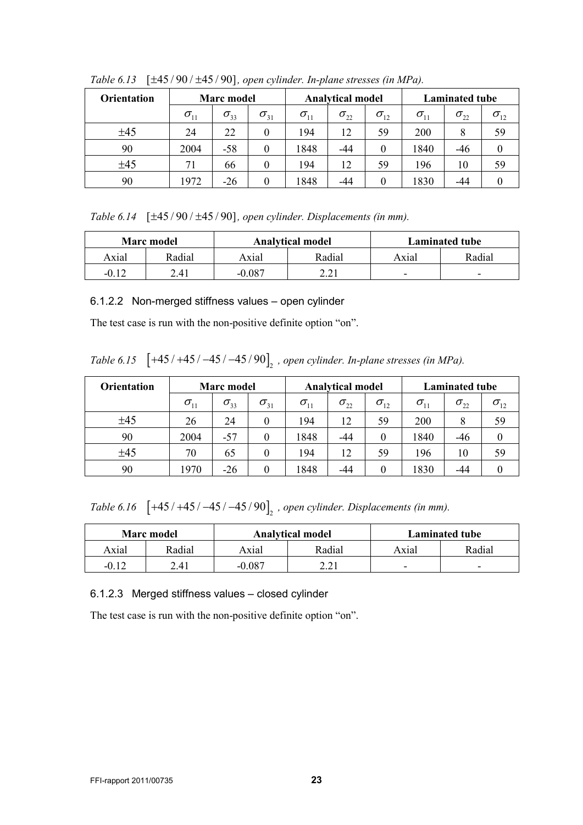| <b>Orientation</b> | <b>Marc</b> model |               |               |               | <b>Analytical model</b> |               |               | <b>Laminated tube</b> |               |  |
|--------------------|-------------------|---------------|---------------|---------------|-------------------------|---------------|---------------|-----------------------|---------------|--|
|                    | $\sigma_{11}$     | $\sigma_{33}$ | $\sigma_{31}$ | $\sigma_{11}$ | $\sigma_{22}$           | $\sigma_{12}$ | $\sigma_{11}$ | $\sigma_{22}$         | $\sigma_{12}$ |  |
| ±45                | 24                | 22            | 0             | 194           | 12                      | 59            | 200           | 8                     | 59            |  |
| 90                 | 2004              | $-58$         | $\theta$      | 1848          | -44                     | 0             | 1840          | $-46$                 |               |  |
| ±45                | 71                | 66            | 0             | 194           | 12                      | 59            | 196           | 10                    | 59            |  |
| 90                 | 1972              | $-26$         | 0             | 1848          | -44                     | 0             | 1830          | -44                   |               |  |

*Table 6.13*  $[\pm 45/90/\pm 45/90]$ , open cylinder. In-plane stresses (in MPa).

*Table 6.14* [ $\pm$ 45/90/ $\pm$ 45/90], open cylinder. Displacements (in mm).

|                     | Marc model |        | <b>Analytical model</b> | <b>Laminated tube</b> |                          |  |  |
|---------------------|------------|--------|-------------------------|-----------------------|--------------------------|--|--|
| Axial               | Radial     | Axial  | Radial                  | Axial                 | Radial                   |  |  |
| $-0.1$ <sup>2</sup> | 2.41       | -0.087 | າ າາ                    | -                     | $\overline{\phantom{0}}$ |  |  |

#### 6.1.2.2 Non-merged stiffness values – open cylinder

The test case is run with the non-positive definite option "on".

*Table 6.15* [+45 / +45 / −45 / −45 / 90]<sub>2</sub>, open *cylinder. In-plane stresses (in MPa).* 

| <b>Orientation</b> | <b>Marc</b> model                |               |                  |                                     | <b>Analytical model</b> |               |               | <b>Laminated tube</b> |                                   |  |
|--------------------|----------------------------------|---------------|------------------|-------------------------------------|-------------------------|---------------|---------------|-----------------------|-----------------------------------|--|
|                    | $\sigma_{\scriptscriptstyle 11}$ | $\sigma_{33}$ | $\sigma_{_{31}}$ | $\sigma_{\scriptscriptstyle 11}^{}$ | $\sigma_{22}$           | $\sigma_{12}$ | $\sigma_{11}$ | $\sigma_{_{22}}$      | $\sigma_{\scriptscriptstyle{12}}$ |  |
| ±45                | 26                               | 24            |                  | 194                                 | 12                      | 59            | 200           |                       | 59                                |  |
| 90                 | 2004                             | $-57$         |                  | 1848                                | -44                     | $\theta$      | 1840          | -46                   |                                   |  |
| ±45                | 70                               | 65            |                  | 194                                 | 12                      | 59            | 196           | 10                    | 59                                |  |
| 90                 | 1970                             | $-26$         |                  | 1848                                | -44                     | 0             | 1830          | -44                   |                                   |  |

*Table 6.16*  $[+45/+45/ -45/ -45/90]$ <sub>2</sub>, open cylinder. Displacements (in mm).

|         | <b>Marc</b> model |        | <b>Analytical model</b> | <b>Laminated tube</b> |                          |  |  |
|---------|-------------------|--------|-------------------------|-----------------------|--------------------------|--|--|
| Axial   | Radial            | Axial  | Radial                  | Axial                 | Radial                   |  |  |
| $-0.12$ | 2.41              | -0.087 | າ າ 1                   | -                     | $\overline{\phantom{0}}$ |  |  |

### 6.1.2.3 Merged stiffness values – closed cylinder

The test case is run with the non-positive definite option "on".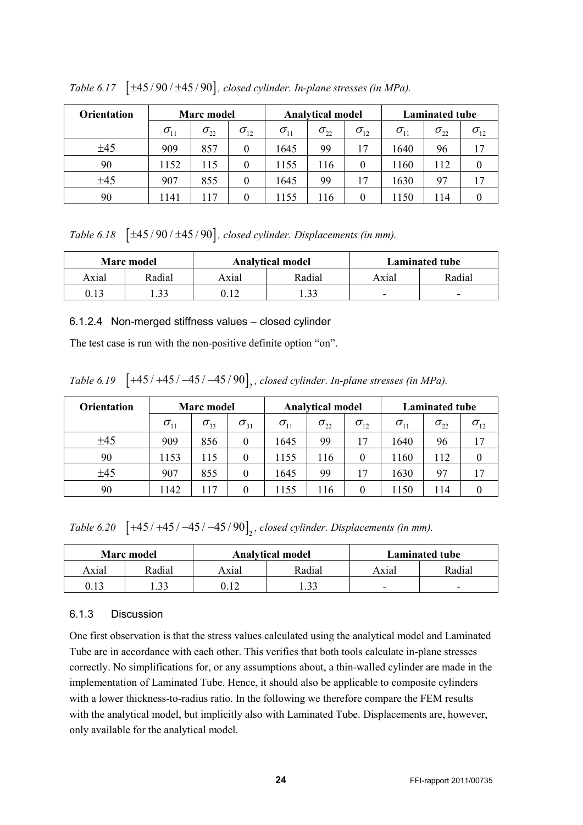| <b>Orientation</b> | <b>Marc</b> model |               |               |                                  | <b>Analytical model</b> |               |               | <b>Laminated tube</b> |               |  |
|--------------------|-------------------|---------------|---------------|----------------------------------|-------------------------|---------------|---------------|-----------------------|---------------|--|
|                    | $\sigma_{11}$     | $\sigma_{22}$ | $\sigma_{12}$ | $\sigma_{\scriptscriptstyle 11}$ | $\sigma_{22}$           | $\sigma_{12}$ | $\sigma_{11}$ | $\sigma_{22}$         | $\sigma_{12}$ |  |
| ±45                | 909               | 857           | $\theta$      | 1645                             | 99                      | 17            | 1640          | 96                    | 17            |  |
| 90                 | 1152              | 115           | $\theta$      | 1155                             | 116                     | $\theta$      | 1160          | 112                   |               |  |
| ±45                | 907               | 855           | $\theta$      | 1645                             | 99                      | 17            | 1630          | 97                    |               |  |
| 90                 | 1141              | l 17          | 0             | 1155                             | 116                     | $\theta$      | 1150          | 114                   |               |  |

*Table 6.17*  $[\pm 45/90/\pm 45/90]$ , closed cylinder. In-plane stresses (in MPa).

*Table 6.18*  $[\pm 45/90/\pm 45/90]$ , closed cylinder. Displacements (in mm).

|       | <b>Marc</b> model |       | <b>Analytical model</b> | <b>Laminated tube</b> |                          |  |  |
|-------|-------------------|-------|-------------------------|-----------------------|--------------------------|--|--|
| Axial | Radial            | Axial | Radial                  | Axial                 | Radial                   |  |  |
| 0.13  | 22                |       | 22                      | -                     | $\overline{\phantom{a}}$ |  |  |

#### 6.1.2.4 Non-merged stiffness values – closed cylinder

The test case is run with the non-positive definite option "on".

*Table 6.19*  $[+45/+45/−45/−45/90]$ , *closed cylinder. In-plane stresses (in MPa).* 

| <b>Orientation</b> | <b>Marc</b> model |               |                  |               | <b>Analytical model</b> |               |                                  | <b>Laminated tube</b> |               |  |
|--------------------|-------------------|---------------|------------------|---------------|-------------------------|---------------|----------------------------------|-----------------------|---------------|--|
|                    | $\sigma_{11}$     | $\sigma_{33}$ | $\sigma_{31}$    | $\sigma_{11}$ | $\sigma_{22}$           | $\sigma_{12}$ | $\sigma_{\scriptscriptstyle 11}$ | $\sigma_{22}$         | $\sigma_{12}$ |  |
| ±45                | 909               | 856           | $\boldsymbol{0}$ | 645           | 99                      | 17            | 1640                             | 96                    | 17            |  |
| 90                 | 1153              | 115           | 0                | 1155          | 116                     | 0             | 1160                             | 112                   | $\theta$      |  |
| ±45                | 907               | 855           | 0                | 645           | 99                      | 17            | 1630                             | 97                    | 17            |  |
| 90                 | 1142              | 117           | 0                | l 155         | 116                     | $\theta$      | 1150                             | 114                   |               |  |

*Table 6.20*  $[+45 / +45 / -45 / -45 / 90]$ , closed cylinder. Displacements (in mm).

|       | <b>Marc</b> model |       | <b>Analytical model</b> | <b>Laminated tube</b> |                          |  |  |
|-------|-------------------|-------|-------------------------|-----------------------|--------------------------|--|--|
| Axial | Radial            | Axıal | Radial                  | Axial                 | Radial                   |  |  |
| 0.13  | 22                |       | 22                      | -                     | $\overline{\phantom{0}}$ |  |  |

### <span id="page-23-0"></span>6.1.3 Discussion

One first observation is that the stress values calculated using the analytical model and Laminated Tube are in accordance with each other. This verifies that both tools calculate in-plane stresses correctly. No simplifications for, or any assumptions about, a thin-walled cylinder are made in the implementation of Laminated Tube. Hence, it should also be applicable to composite cylinders with a lower thickness-to-radius ratio. In the following we therefore compare the FEM results with the analytical model, but implicitly also with Laminated Tube. Displacements are, however, only available for the analytical model.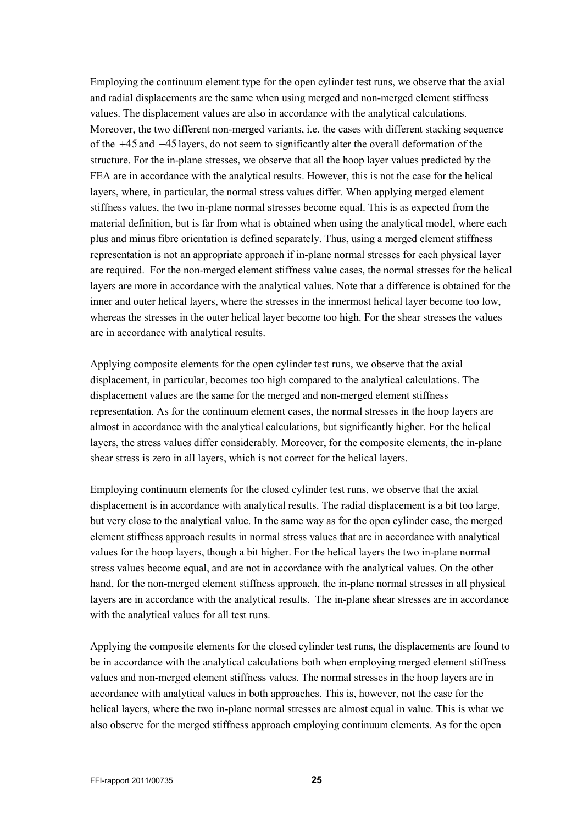Employing the continuum element type for the open cylinder test runs, we observe that the axial and radial displacements are the same when using merged and non-merged element stiffness values. The displacement values are also in accordance with the analytical calculations. Moreover, the two different non-merged variants, i.e. the cases with different stacking sequence of the +45 and −45 layers, do not seem to significantly alter the overall deformation of the structure. For the in-plane stresses, we observe that all the hoop layer values predicted by the FEA are in accordance with the analytical results. However, this is not the case for the helical layers, where, in particular, the normal stress values differ. When applying merged element stiffness values, the two in-plane normal stresses become equal. This is as expected from the material definition, but is far from what is obtained when using the analytical model, where each plus and minus fibre orientation is defined separately. Thus, using a merged element stiffness representation is not an appropriate approach if in-plane normal stresses for each physical layer are required. For the non-merged element stiffness value cases, the normal stresses for the helical layers are more in accordance with the analytical values. Note that a difference is obtained for the inner and outer helical layers, where the stresses in the innermost helical layer become too low, whereas the stresses in the outer helical layer become too high. For the shear stresses the values are in accordance with analytical results.

Applying composite elements for the open cylinder test runs, we observe that the axial displacement, in particular, becomes too high compared to the analytical calculations. The displacement values are the same for the merged and non-merged element stiffness representation. As for the continuum element cases, the normal stresses in the hoop layers are almost in accordance with the analytical calculations, but significantly higher. For the helical layers, the stress values differ considerably. Moreover, for the composite elements, the in-plane shear stress is zero in all layers, which is not correct for the helical layers.

Employing continuum elements for the closed cylinder test runs, we observe that the axial displacement is in accordance with analytical results. The radial displacement is a bit too large, but very close to the analytical value. In the same way as for the open cylinder case, the merged element stiffness approach results in normal stress values that are in accordance with analytical values for the hoop layers, though a bit higher. For the helical layers the two in-plane normal stress values become equal, and are not in accordance with the analytical values. On the other hand, for the non-merged element stiffness approach, the in-plane normal stresses in all physical layers are in accordance with the analytical results. The in-plane shear stresses are in accordance with the analytical values for all test runs.

Applying the composite elements for the closed cylinder test runs, the displacements are found to be in accordance with the analytical calculations both when employing merged element stiffness values and non-merged element stiffness values. The normal stresses in the hoop layers are in accordance with analytical values in both approaches. This is, however, not the case for the helical layers, where the two in-plane normal stresses are almost equal in value. This is what we also observe for the merged stiffness approach employing continuum elements. As for the open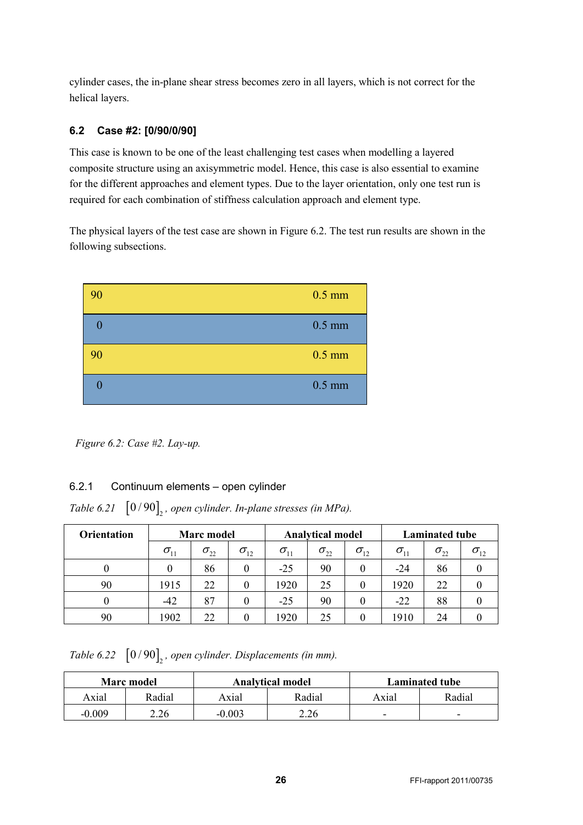cylinder cases, the in-plane shear stress becomes zero in all layers, which is not correct for the helical layers.

## <span id="page-25-0"></span>**6.2 Case #2: [0/90/0/90]**

This case is known to be one of the least challenging test cases when modelling a layered composite structure using an axisymmetric model. Hence, this case is also essential to examine for the different approaches and element types. Due to the layer orientation, only one test run is required for each combination of stiffness calculation approach and element type.

The physical layers of the test case are shown in [Figure 6.2.](#page-25-2) The test run results are shown in the following subsections.



<span id="page-25-2"></span>*Figure 6.2: Case #2. Lay-up.*

## <span id="page-25-1"></span>6.2.1 Continuum elements – open cylinder

*Table 6.21*  $\left[0/90\right]_2$ , open cylinder. In-plane stresses (in MPa).

| <b>Orientation</b> | Marc model    |               |               |                                  | <b>Analytical model</b> |               |               | <b>Laminated tube</b> |               |  |
|--------------------|---------------|---------------|---------------|----------------------------------|-------------------------|---------------|---------------|-----------------------|---------------|--|
|                    | $\sigma_{11}$ | $\sigma_{22}$ | $\sigma_{12}$ | $\sigma_{\scriptscriptstyle 11}$ | $\sigma_{22}$           | $\sigma_{12}$ | $\sigma_{11}$ | $\sigma_{22}$         | $\sigma_{12}$ |  |
|                    |               | 86            |               | $-25$                            | 90                      | 0             | -24           | 86                    |               |  |
| 90                 | 1915          | 22            |               | 1920                             | 25                      | 0             | 1920          | 22                    |               |  |
|                    | $-42$         | 87            |               | $-25$                            | 90                      |               | $-22$         | 88                    |               |  |
| 90                 | 1902          |               |               | 1920                             | 25                      | 0             | 1910          | 24                    |               |  |

*Table 6.22*  $\left[0/90\right]_2$ , open cylinder. Displacements (in mm).

|          | <b>Marc</b> model |          | <b>Analytical model</b> | <b>Laminated tube</b> |                          |  |  |
|----------|-------------------|----------|-------------------------|-----------------------|--------------------------|--|--|
| Axial    | Radial            | Axial    | Radial                  | Axial                 | Radial                   |  |  |
| $-0.009$ | 2.26              | $-0.003$ | 2.26                    | -                     | $\overline{\phantom{0}}$ |  |  |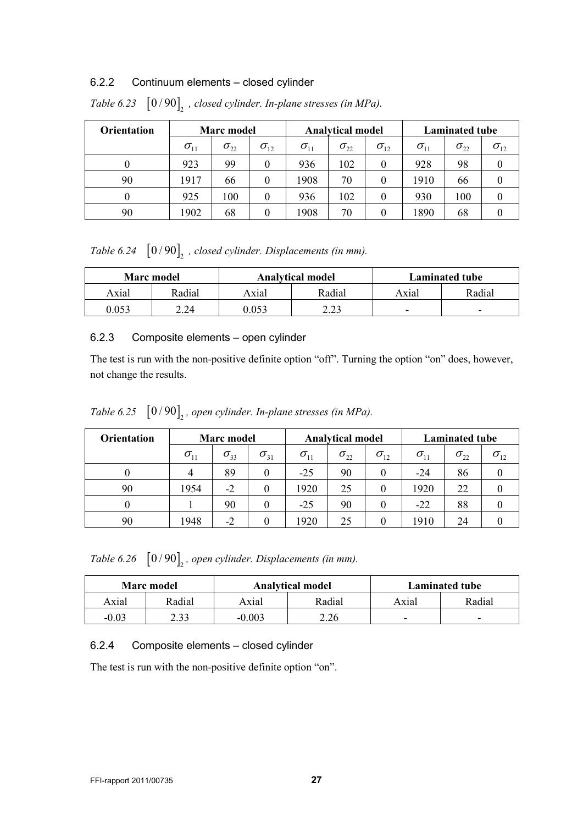#### <span id="page-26-0"></span>6.2.2 Continuum elements – closed cylinder

| <b>Orientation</b> | <b>Marc</b> model |               |               |                                  | <b>Analytical model</b> |               |               | <b>Laminated tube</b>               |               |  |
|--------------------|-------------------|---------------|---------------|----------------------------------|-------------------------|---------------|---------------|-------------------------------------|---------------|--|
|                    | $\sigma_{11}$     | $\sigma_{22}$ | $\sigma_{12}$ | $\sigma_{\scriptscriptstyle 11}$ | $\sigma_{22}$           | $\sigma_{12}$ | $\sigma_{11}$ | $\sigma_{\scriptscriptstyle 22}^{}$ | $\sigma_{12}$ |  |
|                    | 923               | 99            |               | 936                              | 102                     | 0             | 928           | 98                                  |               |  |
| 90                 | 1917              | 66            | 0             | 1908                             | 70                      | 0             | 1910          | 66                                  |               |  |
|                    | 925               | 100           |               | 936                              | 102                     | 0             | 930           | 100                                 |               |  |
| 90                 | 1902              | 68            |               | 1908                             | 70                      | 0             | 1890          | 68                                  |               |  |

*Table 6.23*  $\left[ 0/90 \right]_2$ , closed cylinder. In-plane stresses (in MPa).

*Table 6.24*  $\left[0/90\right]_2$ , closed cylinder. Displacements (in mm).

|       | <b>Marc</b> model |       | <b>Analytical model</b> | <b>Laminated tube</b>    |                          |  |  |
|-------|-------------------|-------|-------------------------|--------------------------|--------------------------|--|--|
| Axial | Radial            | Axial | Radial                  | Axial                    | Radial                   |  |  |
| 0.053 | 2.24              | 0.053 | າາາ<br>ر ے .            | $\overline{\phantom{0}}$ | $\overline{\phantom{0}}$ |  |  |

### <span id="page-26-1"></span>6.2.3 Composite elements – open cylinder

The test is run with the non-positive definite option "off". Turning the option "on" does, however, not change the results.

*Table 6.25*  $\left[0/90\right]_2$ , open cylinder. In-plane stresses (in MPa).

| <b>Orientation</b> | <b>Marc</b> model |               |               |               | <b>Analytical model</b> |               |               | <b>Laminated tube</b> |               |  |
|--------------------|-------------------|---------------|---------------|---------------|-------------------------|---------------|---------------|-----------------------|---------------|--|
|                    | $\sigma_{11}$     | $\sigma_{33}$ | $\sigma_{31}$ | $\sigma_{11}$ | $\sigma_{22}$           | $\sigma_{12}$ | $\sigma_{11}$ | $\sigma_{22}$         | $\sigma_{12}$ |  |
|                    | 4                 | 89            |               | $-25$         | 90                      | $\theta$      | $-24$         | 86                    |               |  |
| 90                 | 1954              | $-2$          |               | 1920          | 25                      | $\theta$      | 1920          | 22                    |               |  |
|                    |                   | 90            |               | $-25$         | 90                      | 0             | $-22$         | 88                    |               |  |
| 90                 | 1948              | $-2$          |               | 1920          | 25                      |               | 1910          | 24                    |               |  |

*Table 6.26*  $\left[0/90\right]_2$ , open cylinder. Displacements (in mm).

|         | <b>Marc</b> model |          | <b>Analytical model</b> | <b>Laminated tube</b>    |                          |  |  |
|---------|-------------------|----------|-------------------------|--------------------------|--------------------------|--|--|
| Axial   | Radial            | Axial    | Radial                  | Axial                    | Radial                   |  |  |
| $-0.03$ | 2.33              | $-0.003$ | 2.26                    | $\overline{\phantom{0}}$ | $\overline{\phantom{0}}$ |  |  |

## <span id="page-26-2"></span>6.2.4 Composite elements – closed cylinder

The test is run with the non-positive definite option "on".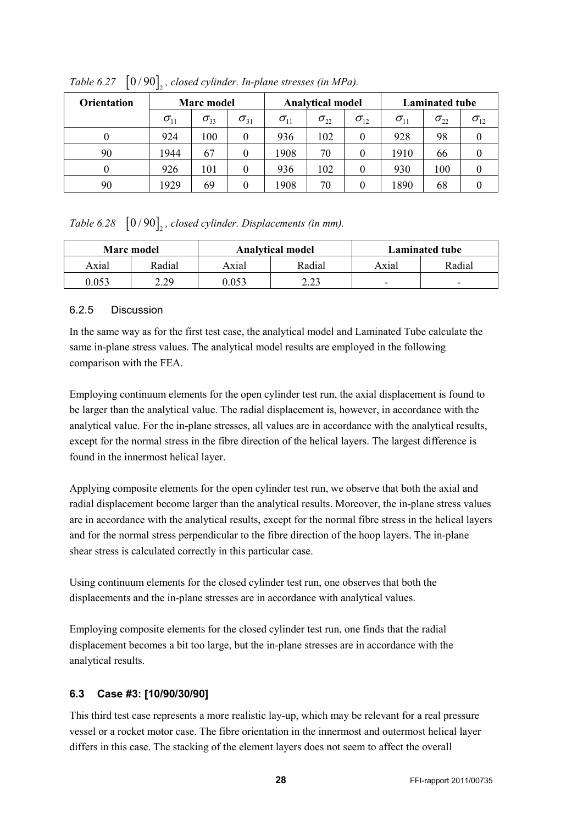| <b>Orientation</b> | Marc model    |               |               |               | <b>Analytical model</b> |               |               | <b>Laminated tube</b> |               |  |
|--------------------|---------------|---------------|---------------|---------------|-------------------------|---------------|---------------|-----------------------|---------------|--|
|                    | $\sigma_{11}$ | $\sigma_{33}$ | $\sigma_{31}$ | $\sigma_{11}$ | $\sigma_{22}$           | $\sigma_{12}$ | $\sigma_{11}$ | $\sigma_{22}$         | $\sigma_{12}$ |  |
|                    | 924           | 100           | 0             | 936           | 102                     | $\theta$      | 928           | 98                    |               |  |
| 90                 | 1944          | 67            | $\theta$      | 1908          | 70                      | $\theta$      | 1910          | 66                    |               |  |
|                    | 926           | 101           |               | 936           | 102                     | $\theta$      | 930           | 100                   |               |  |
| 90                 | 1929          | 69            |               | 1908          | 70                      |               | 1890          | 68                    |               |  |

*Table 6.27*  $\left[0/90\right]$ , closed cylinder. In-plane stresses (in MPa).

## *Table 6.28*  $\left[0/90\right]$ , closed cylinder. Displacements (in mm).

|       | <b>Marc</b> model |       | <b>Analytical model</b> | <b>Laminated tube</b>    |                          |  |  |
|-------|-------------------|-------|-------------------------|--------------------------|--------------------------|--|--|
| Axial | Radial            | Axial | Radial                  | Axial                    | Radial                   |  |  |
| 0.053 | າ າດ              | .053  | າ າາ                    | $\overline{\phantom{0}}$ | $\overline{\phantom{0}}$ |  |  |

## <span id="page-27-0"></span>6.2.5 Discussion

In the same way as for the first test case, the analytical model and Laminated Tube calculate the same in-plane stress values. The analytical model results are employed in the following comparison with the FEA.

Employing continuum elements for the open cylinder test run, the axial displacement is found to be larger than the analytical value. The radial displacement is, however, in accordance with the analytical value. For the in-plane stresses, all values are in accordance with the analytical results, except for the normal stress in the fibre direction of the helical layers. The largest difference is found in the innermost helical layer.

Applying composite elements for the open cylinder test run, we observe that both the axial and radial displacement become larger than the analytical results. Moreover, the in-plane stress values are in accordance with the analytical results, except for the normal fibre stress in the helical layers and for the normal stress perpendicular to the fibre direction of the hoop layers. The in-plane shear stress is calculated correctly in this particular case.

Using continuum elements for the closed cylinder test run, one observes that both the displacements and the in-plane stresses are in accordance with analytical values.

Employing composite elements for the closed cylinder test run, one finds that the radial displacement becomes a bit too large, but the in-plane stresses are in accordance with the analytical results.

## <span id="page-27-1"></span>**6.3 Case #3: [10/90/30/90]**

This third test case represents a more realistic lay-up, which may be relevant for a real pressure vessel or a rocket motor case. The fibre orientation in the innermost and outermost helical layer differs in this case. The stacking of the element layers does not seem to affect the overall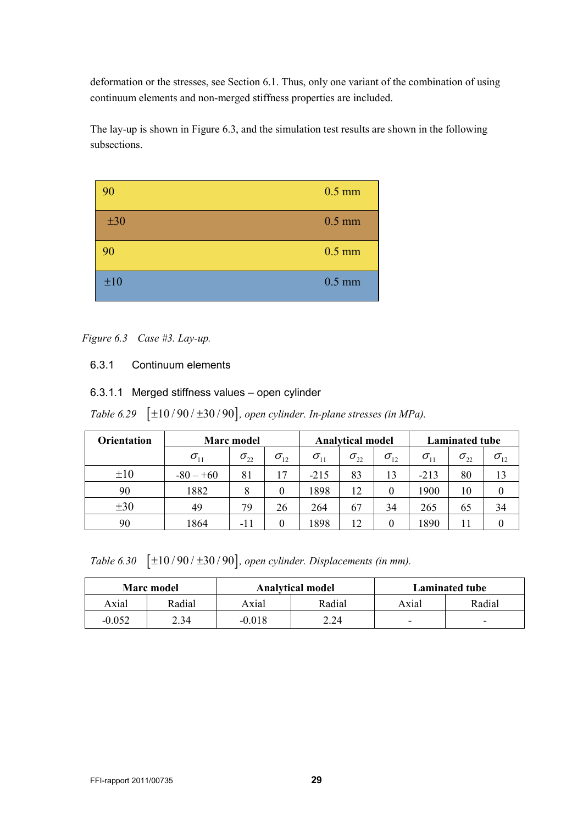deformation or the stresses, see Section [6.1.](#page-18-1) Thus, only one variant of the combination of using continuum elements and non-merged stiffness properties are included.

The lay-up is shown i[n Figure 6.3,](#page-28-1) and the simulation test results are shown in the following subsections.



### <span id="page-28-1"></span>*Figure 6.3 Case #3. Lay-up.*

### <span id="page-28-0"></span>6.3.1 Continuum elements

### 6.3.1.1 Merged stiffness values – open cylinder

*Table 6.29*  $[\pm 10/90/\pm 30/90]$ , open cylinder. In-plane stresses (in MPa).

| <b>Orientation</b> | <b>Marc</b> model | <b>Analytical model</b> |               |               | Laminated tube |               |                                  |               |               |
|--------------------|-------------------|-------------------------|---------------|---------------|----------------|---------------|----------------------------------|---------------|---------------|
|                    | $\sigma_{11}$     | $\sigma_{22}$           | $\sigma_{12}$ | $\sigma_{11}$ | $\sigma_{22}$  | $\sigma_{12}$ | $\sigma_{\scriptscriptstyle 11}$ | $\sigma_{22}$ | $\sigma_{12}$ |
| ±10                | $-80 - +60$       | 81                      | 17            | $-215$        | 83             | 13            | $-213$                           | 80            | 13            |
| 90                 | 1882              | 8                       |               | 1898          | 12             |               | 1900                             | 10            |               |
| $\pm 30$           | 49                | 79                      | 26            | 264           | 67             | 34            | 265                              | 65            | 34            |
| 90                 | 1864              | $-11$                   |               | 1898          |                |               | 1890                             |               |               |

*Table 6.30*  $[\pm 10/90/\pm 30/90]$ , open cylinder. Displacements (in mm).

|          | Marc model |          | <b>Analytical model</b> | <b>Laminated tube</b>    |                          |  |  |
|----------|------------|----------|-------------------------|--------------------------|--------------------------|--|--|
| Axial    | Radial     | Axial    | Radial                  | Axial                    | Radial                   |  |  |
| $-0.052$ | 2.34       | $-0.018$ | 2.24                    | $\overline{\phantom{0}}$ | $\overline{\phantom{0}}$ |  |  |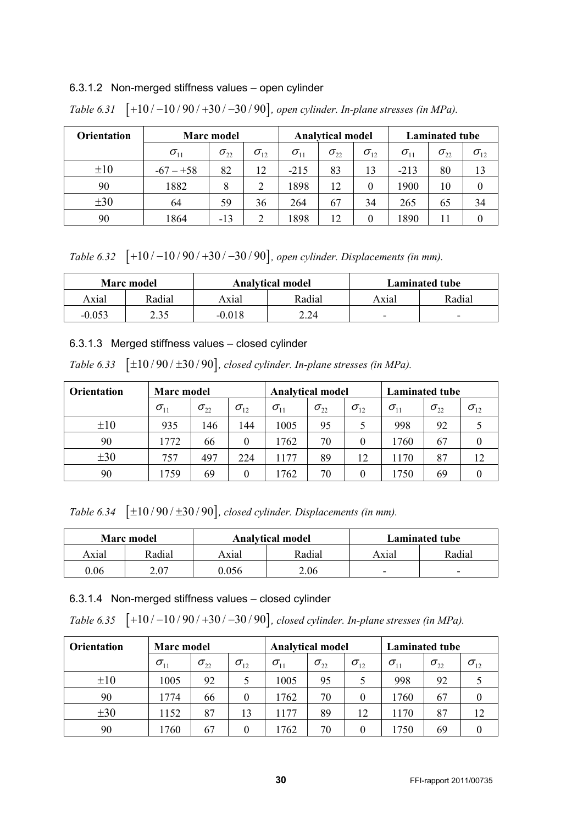#### 6.3.1.2 Non-merged stiffness values – open cylinder

| <b>Orientation</b> | Marc model                       | <b>Analytical model</b> |               |               | <b>Laminated tube</b> |               |               |               |               |
|--------------------|----------------------------------|-------------------------|---------------|---------------|-----------------------|---------------|---------------|---------------|---------------|
|                    | $\sigma_{\scriptscriptstyle 11}$ | $\sigma_{22}$           | $\sigma_{12}$ | $\sigma_{11}$ | $\sigma_{22}$         | $\sigma_{12}$ | $\sigma_{11}$ | $\sigma_{22}$ | $\sigma_{12}$ |
| $\pm 10$           | $-67 - +58$                      | 82                      | 12            | $-215$        | 83                    | 13            | $-213$        | 80            | 13            |
| 90                 | 1882                             | 8                       | 2             | 1898          | 12                    | 0             | 1900          | 10            |               |
| $\pm 30$           | 64                               | 59                      | 36            | 264           | 67                    | 34            | 265           | 65            | 34            |
| 90                 | 1864                             | $-13$                   | 2             | 1898          |                       | 0             | 1890          | 11            |               |

*Table 6.31* [+10 / -10 / 90 / +30 / -30 / 90], open cylinder. In-plane stresses (in MPa).

*Table 6.32* [+10 / −10 / 90 / +30 / −30 / 90], open cylinder. Displacements (in mm).

|          | Marc model |          | <b>Analytical model</b> | Laminated tube           |                          |  |  |
|----------|------------|----------|-------------------------|--------------------------|--------------------------|--|--|
| Axial    | Radial     | Axial    | Radial                  | Axial                    | Radial                   |  |  |
| $-0.053$ | 2.35       | $-0.018$ | 2.24                    | $\overline{\phantom{0}}$ | $\overline{\phantom{0}}$ |  |  |

#### 6.3.1.3 Merged stiffness values – closed cylinder

*Table 6.33*  $[\pm 10/90/\pm 30/90]$ , *closed cylinder. In-plane stresses (in MPa).* 

| <b>Orientation</b> | Marc model    |               |               | <b>Analytical model</b> |               |               | <b>Laminated tube</b> |               |                                   |
|--------------------|---------------|---------------|---------------|-------------------------|---------------|---------------|-----------------------|---------------|-----------------------------------|
|                    | $\sigma_{11}$ | $\sigma_{22}$ | $\sigma_{12}$ | $\sigma_{11}$           | $\sigma_{22}$ | $\sigma_{12}$ | $\sigma_{11}$         | $\sigma_{22}$ | $\sigma_{\scriptscriptstyle{12}}$ |
| $\pm 10$           | 935           | 146           | 144           | 1005                    | 95            |               | 998                   | 92            |                                   |
| 90                 | 1772          | 66            | $\Omega$      | 1762                    | 70            | $\theta$      | 1760                  | 67            |                                   |
| $\pm 30$           | 757           | 497           | 224           | 1177                    | 89            | 12            | 1170                  | 87            | 12                                |
| 90                 | 1759          | 69            | $\Omega$      | 1762                    | 70            | $\theta$      | 1750                  | 69            |                                   |

*Table 6.34*  $[\pm 10/90/\pm 30/90]$ , closed cylinder. Displacements (in mm).

|       | <b>Marc</b> model |       | <b>Analytical model</b> | Laminated tube |                          |  |
|-------|-------------------|-------|-------------------------|----------------|--------------------------|--|
| Axial | Radial            | Axial | Radial                  | Axial          | Radial                   |  |
| 0.06  | 2.07              | 0.056 | 2.06                    | -              | $\overline{\phantom{a}}$ |  |

### 6.3.1.4 Non-merged stiffness values – closed cylinder

*Table 6.35* [+10 / -10 / 90 / +30 / -30 / 90], closed cylinder. In-plane stresses (in MPa).

| Orientation | Marc model    |               |               | <b>Analytical model</b>          |               |               | <b>Laminated tube</b>               |               |               |
|-------------|---------------|---------------|---------------|----------------------------------|---------------|---------------|-------------------------------------|---------------|---------------|
|             | $\sigma_{11}$ | $\sigma_{22}$ | $\sigma_{12}$ | $\sigma_{\scriptscriptstyle 11}$ | $\sigma_{22}$ | $\sigma_{12}$ | $\sigma_{\scriptscriptstyle 11}^{}$ | $\sigma_{22}$ | $\sigma_{12}$ |
| $\pm 10$    | 1005          | 92            |               | 1005                             | 95            |               | 998                                 | 92            |               |
| 90          | 1774          | 66            | $\theta$      | 1762                             | 70            | 0             | 1760                                | 67            |               |
| $\pm 30$    | 1152          | 87            | 13            | 1177                             | 89            | 12            | 1170                                | 87            | 12            |
| 90          | 1760          | 67            | 0             | 1762                             | 70            | $\theta$      | 1750                                | 69            |               |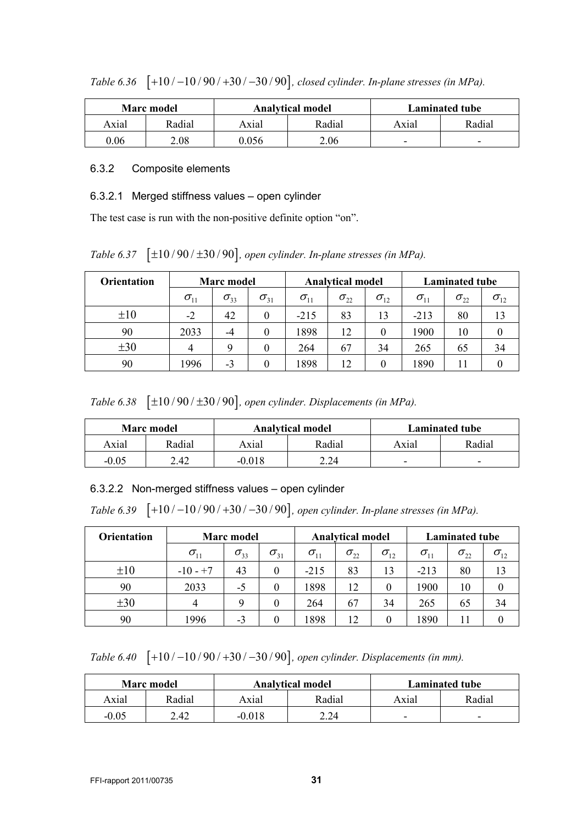|       | <b>Marc</b> model |       | <b>Analytical model</b> | <b>Laminated tube</b>    |                          |  |
|-------|-------------------|-------|-------------------------|--------------------------|--------------------------|--|
| Axial | Radial            | Axial | Radial                  | Axial                    | Radial                   |  |
| 0.06  | 2.08              | ი ი56 | 2.06                    | $\overline{\phantom{0}}$ | $\overline{\phantom{0}}$ |  |

*Table 6.36* [+10 / -10 / 90 / +30 / -30 / 90], closed cylinder. In-plane stresses (in MPa).

### <span id="page-30-0"></span>6.3.2 Composite elements

### 6.3.2.1 Merged stiffness values – open cylinder

The test case is run with the non-positive definite option "on".

*Table 6.37*  $[\pm 10/90/\pm 30/90]$ *, open cylinder. In-plane stresses (in MPa).* 

| <b>Orientation</b> | <b>Marc</b> model                |                     |               |               | <b>Analytical model</b> |               |                                   | <b>Laminated tube</b> |                                   |  |
|--------------------|----------------------------------|---------------------|---------------|---------------|-------------------------|---------------|-----------------------------------|-----------------------|-----------------------------------|--|
|                    | $\sigma_{\scriptscriptstyle 11}$ | $\sigma_{33}$       | $\sigma_{31}$ | $\sigma_{11}$ | $\sigma_{22}$           | $\sigma_{12}$ | $\sigma_{\scriptscriptstyle (1)}$ | $\sigma_{22}$         | $\sigma_{\scriptscriptstyle{12}}$ |  |
| $\pm 10$           | $-2$                             | 42                  |               | $-215$        | 83                      | 13            | $-213$                            | 80                    | 13                                |  |
| 90                 | 2033                             | $\overline{\Delta}$ |               | 1898          | 12                      |               | 1900                              | 10                    |                                   |  |
| $\pm 30$           |                                  |                     |               | 264           | 67                      | 34            | 265                               | 65                    | 34                                |  |
| 90                 | 1996                             | - 1                 |               | 1898          |                         |               | 1890                              |                       |                                   |  |

*Table 6.38*  $[\pm 10/90/\pm 30/90]$ , *open cylinder. Displacements (in MPa).* 

|         | <b>Marc</b> model |          | <b>Analytical model</b> | <b>Laminated tube</b>    |                          |  |
|---------|-------------------|----------|-------------------------|--------------------------|--------------------------|--|
| Axial   | Radial            | Axial    | Radial                  | Axial                    | Radial                   |  |
| $-0.05$ | 2.42              | $-0.018$ | 2.24                    | $\overline{\phantom{0}}$ | $\overline{\phantom{0}}$ |  |

## 6.3.2.2 Non-merged stiffness values – open cylinder

*Table 6.39* [+10 / -10 / 90 / +30 / -30 / 90], open cylinder. In-plane stresses (in MPa).

| <b>Orientation</b> | <b>Marc</b> model                |               |               |               | <b>Analytical model</b> |               |               | <b>Laminated tube</b> |               |  |
|--------------------|----------------------------------|---------------|---------------|---------------|-------------------------|---------------|---------------|-----------------------|---------------|--|
|                    | $\sigma_{\scriptscriptstyle 11}$ | $\sigma_{33}$ | $\sigma_{31}$ | $\sigma_{11}$ | $\sigma_{22}$           | $\sigma_{12}$ | $\sigma_{11}$ | $\sigma_{22}$         | $\sigma_{12}$ |  |
| $\pm 10$           | $-10 - +7$                       | 43            |               | $-215$        | 83                      | 13            | $-213$        | 80                    | 13            |  |
| 90                 | 2033                             | $-5$          |               | 1898          | 12                      | 0             | 1900          | 10                    |               |  |
| $\pm 30$           |                                  | Q             |               | 264           | 67                      | 34            | 265           | 65                    | 34            |  |
| 90                 | 1996                             | $-3$          |               | 1898          | 12                      | 0             | 1890          | 11                    |               |  |

*Table 6.40* [+10 / -10 / 90 / +30 / -30 / 90], open cylinder. Displacements (in mm).

|         | <b>Marc</b> model |          | <b>Analytical model</b> | <b>Laminated tube</b> |                          |  |
|---------|-------------------|----------|-------------------------|-----------------------|--------------------------|--|
| Axial   | Radial            | Axial    | Radial                  | Axial                 | Radial                   |  |
| $-0.05$ | 2.42              | $-0.018$ | 2.24                    | -                     | $\overline{\phantom{a}}$ |  |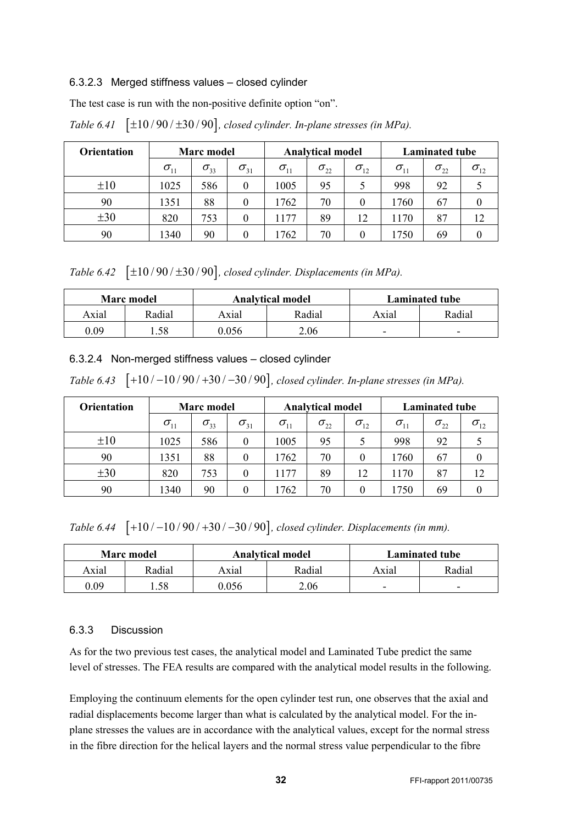#### 6.3.2.3 Merged stiffness values – closed cylinder

The test case is run with the non-positive definite option "on".

| <b>Orientation</b> | <b>Marc</b> model |               |               | <b>Analytical model</b> |               |               | <b>Laminated tube</b> |               |               |
|--------------------|-------------------|---------------|---------------|-------------------------|---------------|---------------|-----------------------|---------------|---------------|
|                    | $\sigma_{11}$     | $\sigma_{33}$ | $\sigma_{31}$ | $\sigma_{11}$           | $\sigma_{22}$ | $\sigma_{12}$ | $\sigma_{11}$         | $\sigma_{22}$ | $\sigma_{12}$ |
| $\pm 10$           | 1025              | 586           | $\theta$      | 1005                    | 95            |               | 998                   | 92            |               |
| 90                 | 1351              | 88            | $\theta$      | 1762                    | 70            | 0             | 1760                  | 67            |               |
| $\pm 30$           | 820               | 753           | $\theta$      | 1177                    | 89            | 12            | 1170                  | 87            | 12            |
| 90                 | 1340              | 90            | 0             | 1762                    | 70            | 0             | 1750                  | 69            |               |

*Table 6.41*  $[\pm 10/90/\pm 30/90]$ , closed cylinder. In-plane stresses (in MPa).

*Table 6.42*  $[\pm 10/90/\pm 30/90]$ , closed cylinder. Displacements (in MPa).

|       | <b>Marc</b> model |       | <b>Analytical model</b> | Laminated tube |                          |  |
|-------|-------------------|-------|-------------------------|----------------|--------------------------|--|
| Axial | Radial            | Axial | Radial                  | Axial          | Radial                   |  |
| 0.09  | .58               | 0.056 | 2.06                    | -              | $\overline{\phantom{0}}$ |  |

#### 6.3.2.4 Non-merged stiffness values – closed cylinder

*Table 6.43* [+10 / -10 / 90 / +30 / -30 / 90], closed cylinder. In-plane stresses (in MPa).

| Orientation | Marc model    |               |               | <b>Analytical model</b>          |               |               | <b>Laminated tube</b> |               |               |
|-------------|---------------|---------------|---------------|----------------------------------|---------------|---------------|-----------------------|---------------|---------------|
|             | $\sigma_{11}$ | $\sigma_{33}$ | $\sigma_{31}$ | $\sigma_{\scriptscriptstyle 11}$ | $\sigma_{22}$ | $\sigma_{12}$ | $\sigma_{11}$         | $\sigma_{22}$ | $\sigma_{12}$ |
| ±10         | 1025          | 586           | 0             | 1005                             | 95            |               | 998                   | 92            |               |
| 90          | 1351          | 88            | $\theta$      | 1762                             | 70            |               | 1760                  | 67            |               |
| $\pm 30$    | 820           | 753           | $\theta$      | 177                              | 89            | 12            | 1170                  | 87            | 12            |
| 90          | 1340          | 90            |               | 762                              | 70            |               | 1750                  | 69            |               |

*Table 6.44* [+10 / -10 / 90 / +30 / -30 / 90], closed cylinder. Displacements (in mm).

|       | <b>Marc</b> model |       | <b>Analytical model</b> | <b>Laminated tube</b> |                          |  |
|-------|-------------------|-------|-------------------------|-----------------------|--------------------------|--|
| Axial | Radial            | Axıal | Radial                  | Axıal                 | Radial                   |  |
| .) 09 | .58               | ) 056 | 2.06                    | -                     | $\overline{\phantom{0}}$ |  |

#### <span id="page-31-0"></span>6.3.3 Discussion

As for the two previous test cases, the analytical model and Laminated Tube predict the same level of stresses. The FEA results are compared with the analytical model results in the following.

Employing the continuum elements for the open cylinder test run, one observes that the axial and radial displacements become larger than what is calculated by the analytical model. For the inplane stresses the values are in accordance with the analytical values, except for the normal stress in the fibre direction for the helical layers and the normal stress value perpendicular to the fibre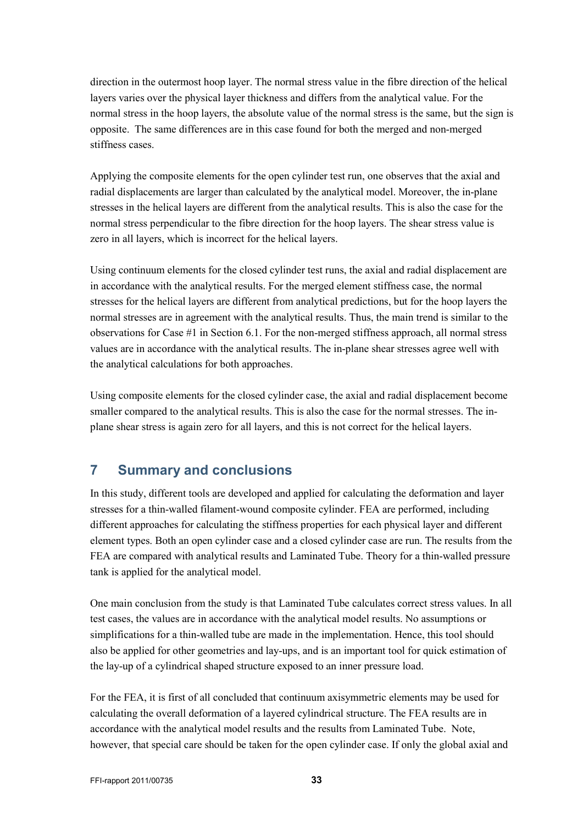direction in the outermost hoop layer. The normal stress value in the fibre direction of the helical layers varies over the physical layer thickness and differs from the analytical value. For the normal stress in the hoop layers, the absolute value of the normal stress is the same, but the sign is opposite. The same differences are in this case found for both the merged and non-merged stiffness cases.

Applying the composite elements for the open cylinder test run, one observes that the axial and radial displacements are larger than calculated by the analytical model. Moreover, the in-plane stresses in the helical layers are different from the analytical results. This is also the case for the normal stress perpendicular to the fibre direction for the hoop layers. The shear stress value is zero in all layers, which is incorrect for the helical layers.

Using continuum elements for the closed cylinder test runs, the axial and radial displacement are in accordance with the analytical results. For the merged element stiffness case, the normal stresses for the helical layers are different from analytical predictions, but for the hoop layers the normal stresses are in agreement with the analytical results. Thus, the main trend is similar to the observations for Case #1 in Section [6.1.](#page-18-1) For the non-merged stiffness approach, all normal stress values are in accordance with the analytical results. The in-plane shear stresses agree well with the analytical calculations for both approaches.

Using composite elements for the closed cylinder case, the axial and radial displacement become smaller compared to the analytical results. This is also the case for the normal stresses. The inplane shear stress is again zero for all layers, and this is not correct for the helical layers.

## <span id="page-32-0"></span>**7 Summary and conclusions**

In this study, different tools are developed and applied for calculating the deformation and layer stresses for a thin-walled filament-wound composite cylinder. FEA are performed, including different approaches for calculating the stiffness properties for each physical layer and different element types. Both an open cylinder case and a closed cylinder case are run. The results from the FEA are compared with analytical results and Laminated Tube. Theory for a thin-walled pressure tank is applied for the analytical model.

One main conclusion from the study is that Laminated Tube calculates correct stress values. In all test cases, the values are in accordance with the analytical model results. No assumptions or simplifications for a thin-walled tube are made in the implementation. Hence, this tool should also be applied for other geometries and lay-ups, and is an important tool for quick estimation of the lay-up of a cylindrical shaped structure exposed to an inner pressure load.

For the FEA, it is first of all concluded that continuum axisymmetric elements may be used for calculating the overall deformation of a layered cylindrical structure. The FEA results are in accordance with the analytical model results and the results from Laminated Tube. Note, however, that special care should be taken for the open cylinder case. If only the global axial and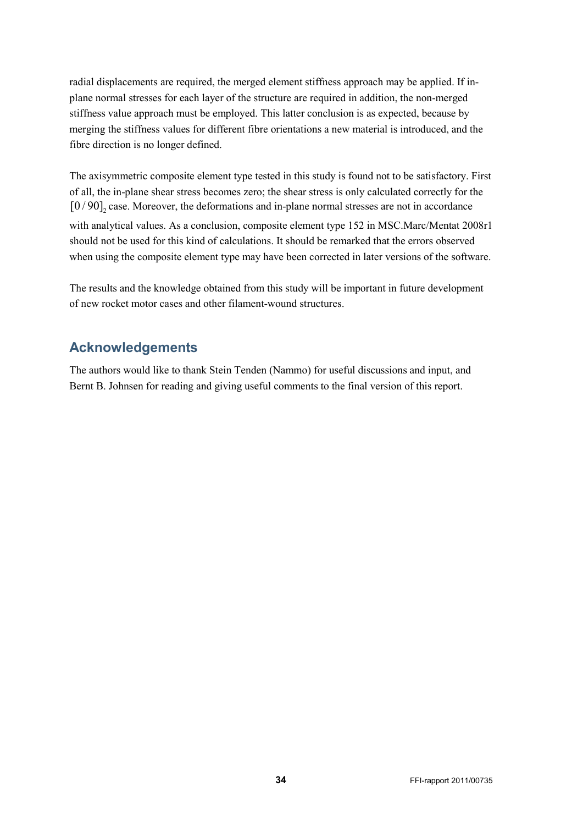radial displacements are required, the merged element stiffness approach may be applied. If inplane normal stresses for each layer of the structure are required in addition, the non-merged stiffness value approach must be employed. This latter conclusion is as expected, because by merging the stiffness values for different fibre orientations a new material is introduced, and the fibre direction is no longer defined.

The axisymmetric composite element type tested in this study is found not to be satisfactory. First of all, the in-plane shear stress becomes zero; the shear stress is only calculated correctly for the  $[0/90]$ , case. Moreover, the deformations and in-plane normal stresses are not in accordance with analytical values. As a conclusion, composite element type 152 in MSC.Marc/Mentat 2008r1 should not be used for this kind of calculations. It should be remarked that the errors observed when using the composite element type may have been corrected in later versions of the software.

<span id="page-33-0"></span>The results and the knowledge obtained from this study will be important in future development of new rocket motor cases and other filament-wound structures.

# **Acknowledgements**

The authors would like to thank Stein Tenden (Nammo) for useful discussions and input, and Bernt B. Johnsen for reading and giving useful comments to the final version of this report.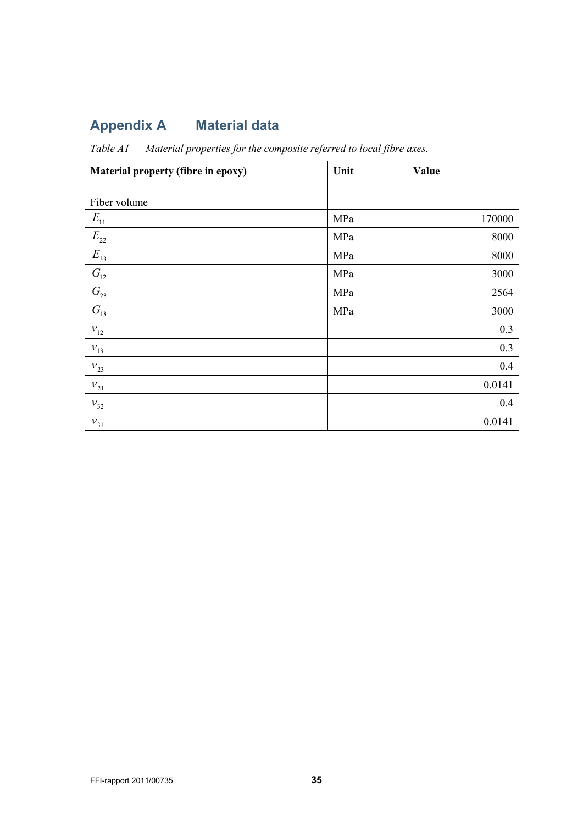# <span id="page-34-0"></span>**Appendix A Material data**

<span id="page-34-1"></span>*Table A1 Material properties for the composite referred to local fibre axes.*

| Material property (fibre in epoxy) | Unit | Value  |
|------------------------------------|------|--------|
|                                    |      |        |
| Fiber volume                       |      |        |
| $E_{11}$                           | MPa  | 170000 |
| $E_{22}$                           | MPa  | 8000   |
| $E_{33}$                           | MPa  | 8000   |
| $G_{12}$                           | MPa  | 3000   |
| $G_{23}$                           | MPa  | 2564   |
| $G_{13}$                           | MPa  | 3000   |
| $V_{12}$                           |      | 0.3    |
| $V_{13}$                           |      | 0.3    |
| $V_{23}$                           |      | 0.4    |
| $V_{21}$                           |      | 0.0141 |
| $V_{32}$                           |      | 0.4    |
| $V_{31}$                           |      | 0.0141 |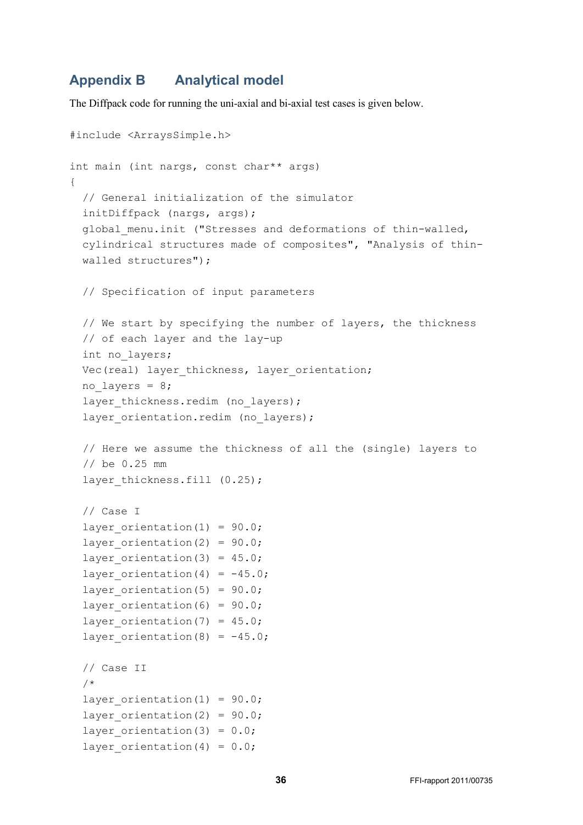## <span id="page-35-0"></span>**Appendix B Analytical model**

The Diffpack code for running the uni-axial and bi-axial test cases is given below.

```
#include <ArraysSimple.h>
int main (int nargs, const char** args)
{
   // General initialization of the simulator
   initDiffpack (nargs, args);
  global menu.init ("Stresses and deformations of thin-walled,
   cylindrical structures made of composites", "Analysis of thin- 
   walled structures");
   // Specification of input parameters
   // We start by specifying the number of layers, the thickness 
   // of each layer and the lay-up
   int no_layers;
  Vec(real) layer thickness, layer orientation;
  no layers = 8;layer thickness.redim (no layers);
  layer orientation.redim (no layers);
  // Here we assume the thickness of all the (single) layers to 
  // be 0.25 mm
  layer thickness.fill (0.25);
   // Case I
  layer orientation(1) = 90.0;layer orientation(2) = 90.0;layer orientation(3) = 45.0;layer orientation(4) = -45.0;layer orientation(5) = 90.0;layer orientation(6) = 90.0;layer orientation(7) = 45.0;layer orientation(8) = -45.0;
   // Case II 
   /*
  layer orientation(1) = 90.0;layer orientation(2) = 90.0;layer orientation(3) = 0.0;layer orientation(4) = 0.0;
```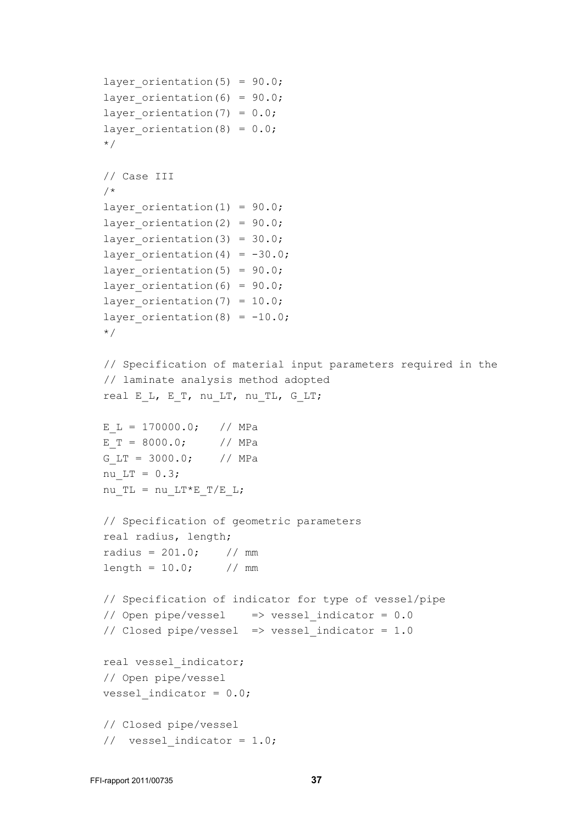```
layer orientation(5) = 90.0;layer orientation(6) = 90.0;layer orientation(7) = 0.0;layer orientation(8) = 0.0;
 */
 // Case III
/*
layer orientation(1) = 90.0;layer orientation(2) = 90.0;layer orientation(3) = 30.0;layer orientation(4) = -30.0;layer orientation(5) = 90.0;layer orientation(6) = 90.0;layer orientation(7) = 10.0;layer orientation(8) = -10.0;
 */
// Specification of material input parameters required in the 
// laminate analysis method adopted
real E L, E T, nu LT, nu TL, G LT;
E L = 170000.0; // MPa
E T = 8000.0; // MPa
G LT = 3000.0; // MPa
nu LT = 0.3;nu TL = nu LT*E T/E L;
 // Specification of geometric parameters
 real radius, length;
radius = 201.0; // mm
length = 10.0; // mm
 // Specification of indicator for type of vessel/pipe
 // Open pipe/vessel => vessel_indicator = 0.0
// Closed pipe/vessel => vessel indicator = 1.0 real vessel_indicator;
 // Open pipe/vessel
vessel indicator = 0.0;
 // Closed pipe/vessel
// vessel indicator = 1.0;
```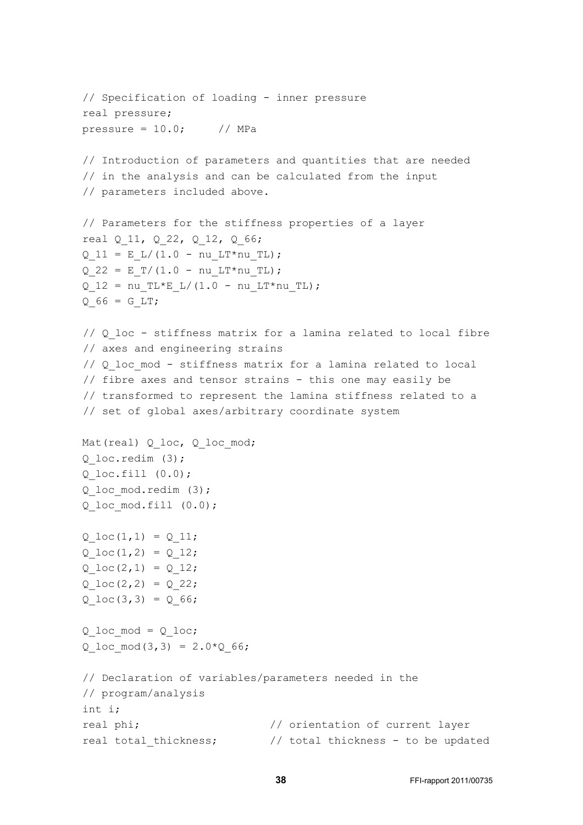```
 // Specification of loading - inner pressure
 real pressure;
pressure = 10.0; // MPa
 // Introduction of parameters and quantities that are needed
 // in the analysis and can be calculated from the input 
 // parameters included above.
 // Parameters for the stiffness properties of a layer
real Q 11, Q 22, Q 12, Q 66;
Q 11 = E L/(1.0 - nu LT*nu TL);
Q 22 = E T/(1.0 - nu LT*nu TL);
Q 12 = nu TL*E L/(1.0 - nu LT*nu TL);
Q 66 = G LT;
// Q loc - stiffness matrix for a lamina related to local fibre
// axes and engineering strains
// Q loc mod - stiffness matrix for a lamina related to local
// fibre axes and tensor strains - this one may easily be
// transformed to represent the lamina stiffness related to a 
// set of global axes/arbitrary coordinate system
Mat(real) Q loc, Q loc mod;
 Q_loc.redim (3); 
Q loc.fill (0.0);
 Q_loc_mod.redim (3); 
Q loc mod.fill (0.0);Q \text{loc}(1,1) = Q 11;Q \text{loc}(1,2) = Q \text{12};Q \text{loc}(2,1) = Q_12;Q \text{loc}(2,2) = Q \text{22};Q \text{loc}(3,3) = Q \text{66};Q loc mod = Q loc;
Q loc mod(3,3) = 2.0*Q 66;
 // Declaration of variables/parameters needed in the 
 // program/analysis
 int i;
real phi; \frac{1}{2} // orientation of current layer
real total thickness; \frac{1}{100} total thickness - to be updated
```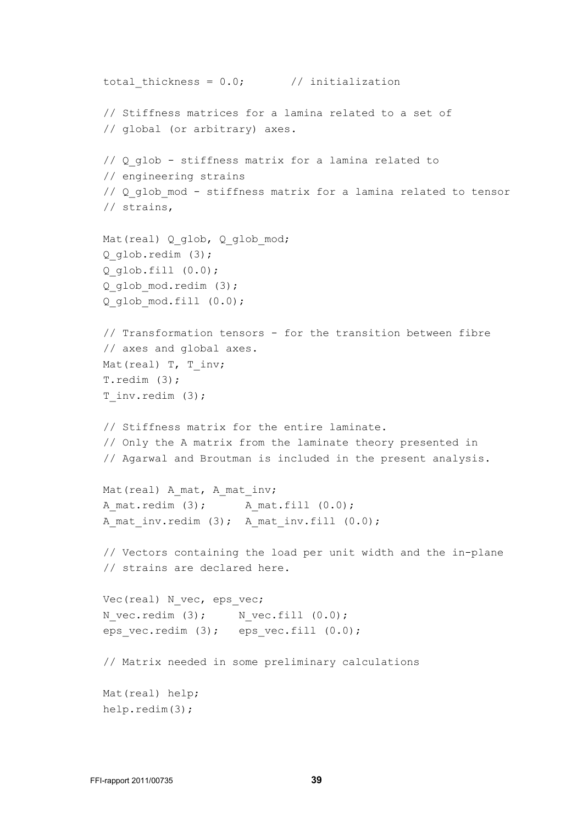```
total thickness = 0.0; // initialization
 // Stiffness matrices for a lamina related to a set of
 // global (or arbitrary) axes.
 // Q_glob - stiffness matrix for a lamina related to 
 // engineering strains
// Q glob mod - stiffness matrix for a lamina related to tensor
 // strains,
Mat(real) Q glob, Q glob mod;
 Q_glob.redim (3);
 Q_glob.fill (0.0);
 Q_glob_mod.redim (3); 
 Q_glob_mod.fill (0.0);
 // Transformation tensors - for the transition between fibre 
 // axes and global axes.
Mat(real) T, T inv;
 T.redim (3);
T inv.redim (3);
 // Stiffness matrix for the entire laminate.
// Only the A matrix from the laminate theory presented in 
 // Agarwal and Broutman is included in the present analysis.
Mat(real) A mat, A mat inv;
A mat.redim (3); A mat.fill (0.0);A mat inv.redim (3); A mat inv.fill (0.0); // Vectors containing the load per unit width and the in-plane 
 // strains are declared here.
Vec(real) N vec, eps vec;
N_vec.redim (3); N_vec.fill (0.0);eps vec.redim (3); eps vec.fill (0.0);
 // Matrix needed in some preliminary calculations
 Mat(real) help;
 help.redim(3);
```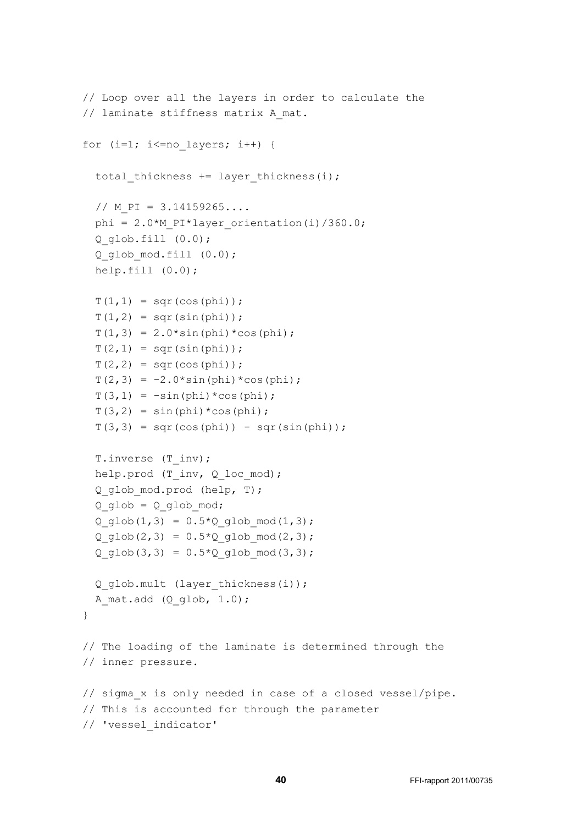```
 // Loop over all the layers in order to calculate the
// laminate stiffness matrix A mat.
for (i=1; i<=no layers; i++) {
  total thickness += layer thickness(i);
  // M PI = 3.14159265...phi = 2.0*M PI*layer orientation(i)/360.0;
  Q glob.fill (0.0); Q_glob_mod.fill (0.0);
   help.fill (0.0);
  T(1, 1) = \text{sqrt}(\cos(\phi h i));T(1, 2) = \sqrt{\text{sqrt}(\sin(\pi h i))};T(1,3) = 2.0*sin(phi)*cos(phi);T(2, 1) = \sqrt{\text{sqrt}(\sin(\pi h i))};T(2, 2) = \sqrt{\text{sgr}(\cos(\pi h i))};T(2,3) = -2.0*sin(phi)*cos(phi);T(3,1) = -\sin(\pi h i) * \cos(\pi h i);T(3,2) = \sin(\phi h i) * \cos(\phi h i);T(3,3) = \text{sqrt}(\cos(\phi h i)) - \text{sqrt}(\sin(\phi h i)); T.inverse (T_inv);
  help.prod (T_inv, Q loc mod);
   Q_glob_mod.prod (help, T);
  Q glob = Q glob mod;
  Q glob(1,3) = 0.5*Q glob mod(1,3);
  Q glob(2,3) = 0.5*Q glob mod(2,3);
  Q glob(3,3) = 0.5*Q glob mod(3,3);
  Q_glob.mult (layer_thickness(i));
  A mat.add (Q_qlob, 1.0); }
 // The loading of the laminate is determined through the
 // inner pressure.
 // sigma_x is only needed in case of a closed vessel/pipe.
 // This is accounted for through the parameter 
 // 'vessel_indicator'
```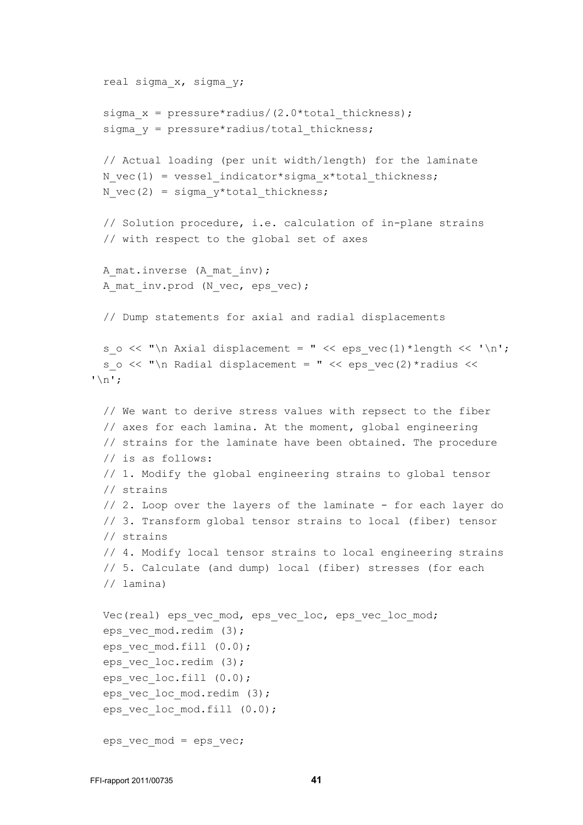```
 real sigma_x, sigma_y;
 sigma x = pressure*radius/(2.0*total thickness);sigma y = pressure * radius/total thickness;
  // Actual loading (per unit width/length) for the laminate
 N vec(1) = vessel indicator*sigma x*total thickness;
 N vec(2) = sigma y^*total thickness;
  // Solution procedure, i.e. calculation of in-plane strains
  // with respect to the global set of axes
 A mat.inverse (A mat inv);
 A mat inv.prod (N vec, eps vec);
  // Dump statements for axial and radial displacements
 s o << "\n Axial displacement = " << eps vec(1)*length << '\n';
 s o << "\n Radial displacement = " << eps vec(2)*radius <<
'\n';
  // We want to derive stress values with repsect to the fiber 
  // axes for each lamina. At the moment, global engineering 
  // strains for the laminate have been obtained. The procedure 
  // is as follows:
  // 1. Modify the global engineering strains to global tensor 
  // strains
  // 2. Loop over the layers of the laminate - for each layer do
  // 3. Transform global tensor strains to local (fiber) tensor 
  // strains
  // 4. Modify local tensor strains to local engineering strains
  // 5. Calculate (and dump) local (fiber) stresses (for each 
  // lamina)
 Vec(real) eps vec mod, eps vec loc, eps vec loc mod;
 eps vec mod.redim (3);
 eps vec mod.fill (0.0);
 eps vec loc.redim (3);
 eps vec loc.fill (0.0);
 eps vec loc mod.redim (3);
 eps vec loc mod.fill (0.0);
 eps vec mod = eps vec;
```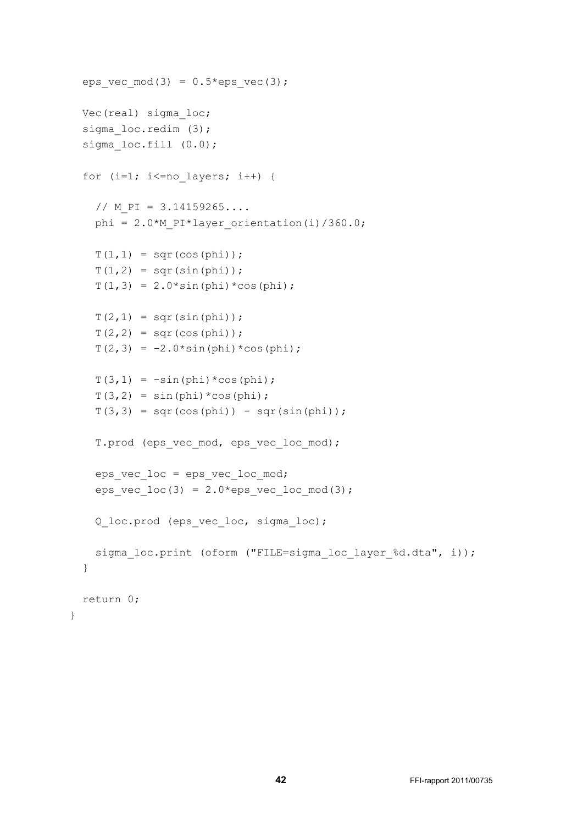```
eps vec mod(3) = 0.5*eps vec(3);
 Vec(real) sigma_loc;
sigma loc.redim (3);
sigma loc.fill (0.0);
for (i=1; i <= no layers; i++) {
  // M PI = 3.14159265...phi = 2.0*M PI*layer orientation(i)/360.0;
  T(1, 1) = \text{sqrt}(\cos(\phi h i));T(1, 2) = sqr(sin(phi));T(1,3) = 2.0*sin(phi)*cos(phi);T(2,1) = \sqrt{\text{sqrt}(\sin(\pi h i))};T(2, 2) = \sqrt{5} (cos(phi));
  T(2,3) = -2.0*sin(phi)*cos(phi);T(3,1) = -sin(phi) * cos(phi);T(3,2) = \sin(\pi h i) * \cos(\pi h i);T(3,3) = sqr(cos(phi)) - sqr(sin(phi));T.prod (eps vec mod, eps vec loc mod);
  eps vec loc = eps vec loc mod;
  eps vec loc(3) = 2.0*eps vec locmod(3);
   Q_loc.prod (eps_vec_loc, sigma_loc);
  sigma loc.print (oform ("FILE=sigma loc layer %d.dta", i));
 }
 return 0;
```
}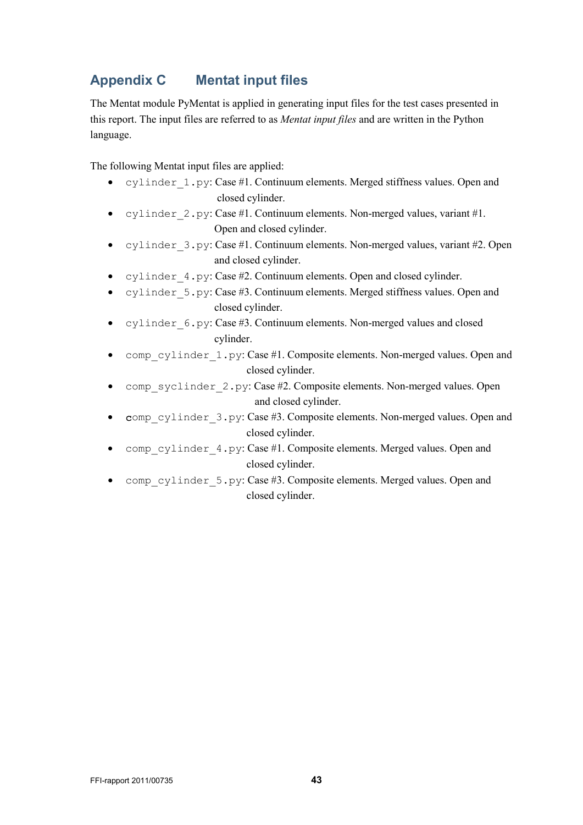## <span id="page-42-0"></span>**Appendix C Mentat input files**

The Mentat module PyMentat is applied in generating input files for the test cases presented in this report. The input files are referred to as *Mentat input files* and are written in the Python language.

The following Mentat input files are applied:

- cylinder 1.py: Case #1. Continuum elements. Merged stiffness values. Open and closed cylinder.
- cylinder 2.py: Case #1. Continuum elements. Non-merged values, variant #1. Open and closed cylinder.
- cylinder 3.py: Case #1. Continuum elements. Non-merged values, variant #2. Open and closed cylinder.
- cylinder 4.py: Case #2. Continuum elements. Open and closed cylinder.
- cylinder 5.py: Case #3. Continuum elements. Merged stiffness values. Open and closed cylinder.
- cylinder\_6.py: Case #3. Continuum elements. Non-merged values and closed cylinder.
- comp\_cylinder\_1.py: Case #1. Composite elements. Non-merged values. Open and closed cylinder.
- comp syclinder 2.py: Case #2. Composite elements. Non-merged values. Open and closed cylinder.
- comp\_cylinder\_3.py: Case #3. Composite elements. Non-merged values. Open and closed cylinder.
- comp\_cylinder\_4.py: Case #1. Composite elements. Merged values. Open and closed cylinder.
- comp\_cylinder\_5.py: Case #3. Composite elements. Merged values. Open and closed cylinder.